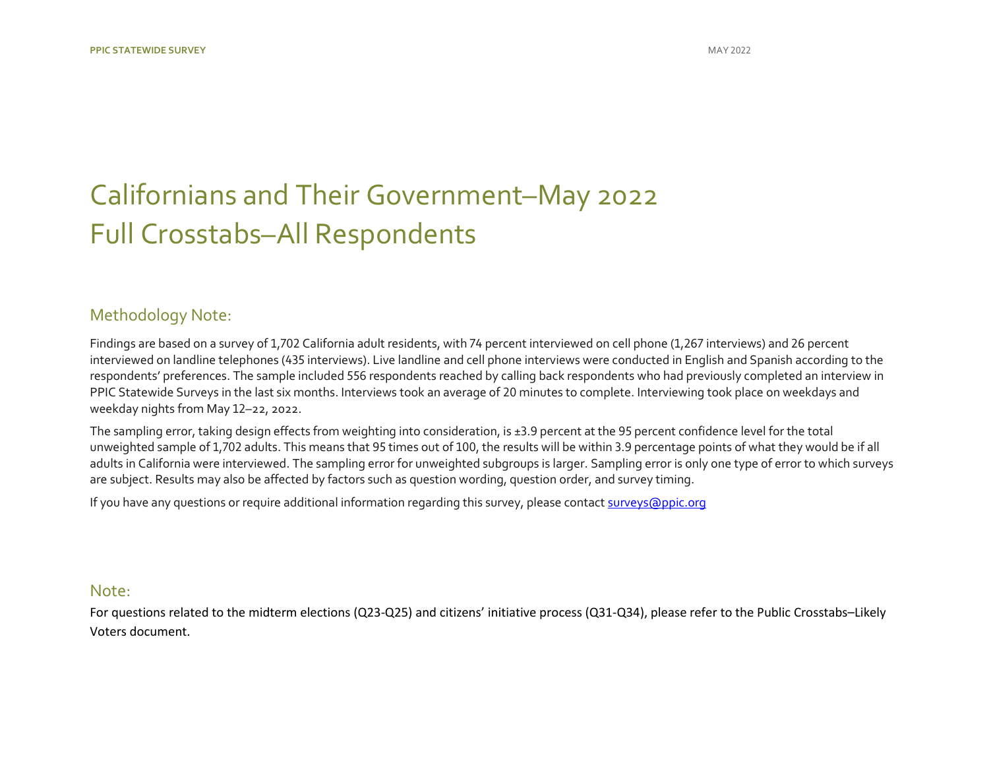# [Californians and Their Government–May](https://www.ppic.org/publication/ppic-statewide-survey-californians-and-their-government-may-2022/) 2022 Full Crosstabs–All Respondents

## Methodology Note:

Findings are based on a survey of 1,702 California adult residents, with 74 percent interviewed on cell phone (1,267 interviews) and 26 percent interviewed on landline telephones (435 interviews). Live landline and cell phone interviews were conducted in English and Spanish according to the respondents' preferences. The sample included 556 respondents reached by calling back respondents who had previously completed an interview in PPIC Statewide Surveys in the last six months. Interviews took an average of 20 minutes to complete. Interviewing took place on weekdays and weekday nights from May 12–22, 2022.

The sampling error, taking design effects from weighting into consideration, is ±3.9 percent at the 95 percent confidence level for the total unweighted sample of 1,702 adults. This means that 95 times out of 100, the results will be within 3.9 percentage points of what they would be if all adults in California were interviewed. The sampling error for unweighted subgroups is larger. Sampling error is only one type of error to which surveys are subject. Results may also be affected by factors such as question wording, question order, and survey timing.

If you have any questions or require additional information regarding this survey, please contac[t surveys@ppic.org](mailto:surveys@ppic.org)

### Note:

For questions related to the midterm elections (Q23-Q25) and citizens' initiative process (Q31-Q34), please refer to the Public Crosstabs–Likely Voters document.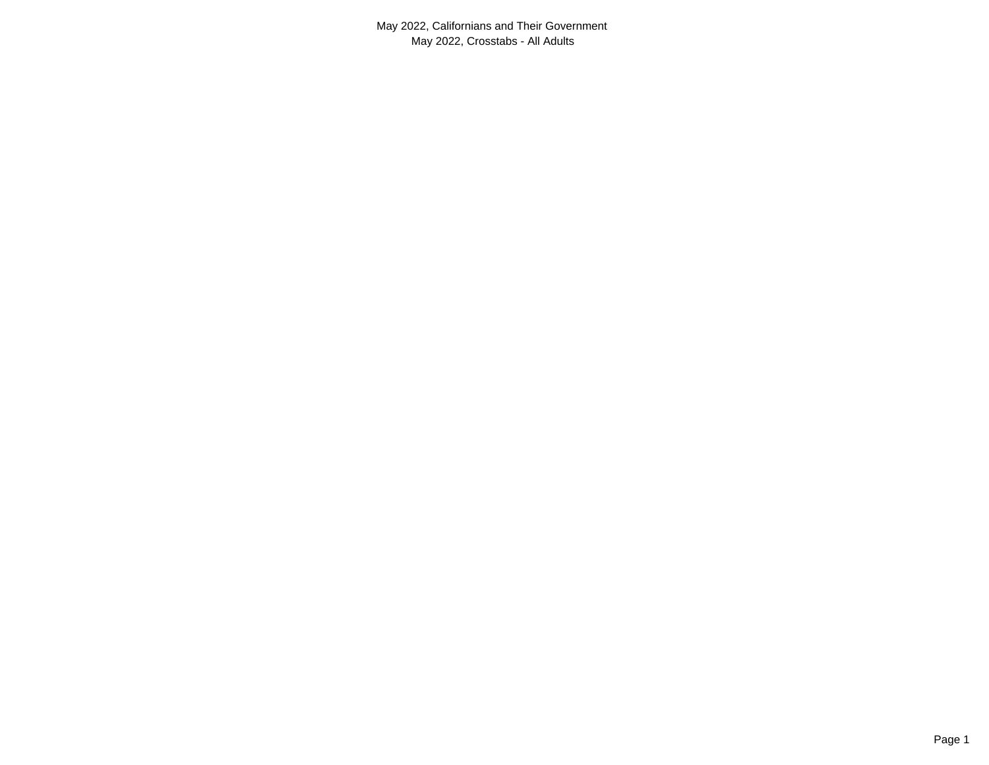May 2022, Californians and Their Government May 2022, Crosstabs - All Adults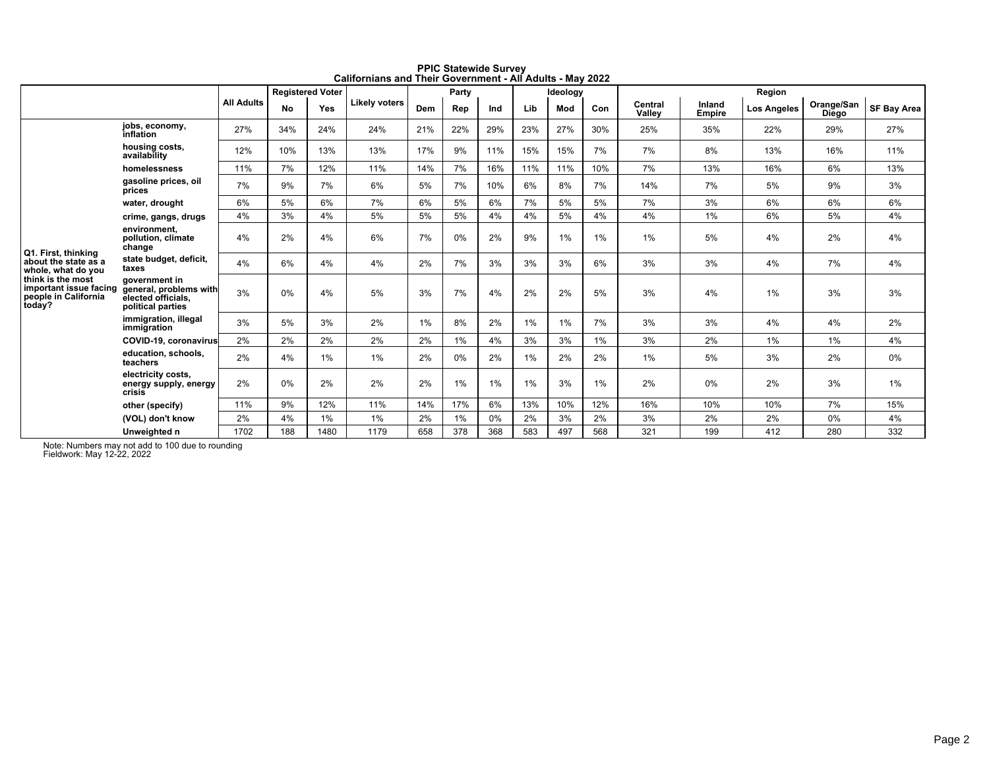|                                                                                                                                                    |                                                                                    |                   |                         |            | S                    |       |       |     |     |          |       |                   |                         |             |                     |             |
|----------------------------------------------------------------------------------------------------------------------------------------------------|------------------------------------------------------------------------------------|-------------------|-------------------------|------------|----------------------|-------|-------|-----|-----|----------|-------|-------------------|-------------------------|-------------|---------------------|-------------|
|                                                                                                                                                    |                                                                                    |                   | <b>Registered Voter</b> |            |                      |       | Party |     |     | Ideology |       |                   |                         | Region      |                     |             |
|                                                                                                                                                    |                                                                                    | <b>All Adults</b> | No                      | <b>Yes</b> | <b>Likely voters</b> | Dem   | Rep   | Ind | Lib | Mod      | Con   | Central<br>Vallev | Inland<br><b>Empire</b> | Los Angeles | Orange/San<br>Diego | SF Bay Area |
|                                                                                                                                                    | jobs, economy,<br>inflation                                                        | 27%               | 34%                     | 24%        | 24%                  | 21%   | 22%   | 29% | 23% | 27%      | 30%   | 25%               | 35%                     | 22%         | 29%                 | 27%         |
|                                                                                                                                                    | housing costs,<br>availability                                                     | 12%               | 10%                     | 13%        | 13%                  | 17%   | 9%    | 11% | 15% | 15%      | 7%    | 7%                | 8%                      | 13%         | 16%                 | 11%         |
|                                                                                                                                                    | homelessness                                                                       | 11%               | 7%                      | 12%        | 11%                  | 14%   | 7%    | 16% | 11% | 11%      | 10%   | 7%                | 13%                     | 16%         | 6%                  | 13%         |
|                                                                                                                                                    | gasoline prices, oil<br>prices                                                     | 7%                | 9%                      | 7%         | 6%                   | 5%    | 7%    | 10% | 6%  | 8%       | 7%    | 14%               | 7%                      | 5%          | 9%                  | 3%          |
|                                                                                                                                                    | water, drought                                                                     | 6%                | 5%                      | 6%         | 7%                   | 6%    | 5%    | 6%  | 7%  | 5%       | 5%    | 7%                | 3%                      | 6%          | 6%                  | 6%          |
|                                                                                                                                                    | crime, gangs, drugs                                                                | 4%                | 3%                      | 4%         | 5%                   | 5%    | 5%    | 4%  | 4%  | 5%       | 4%    | 4%                | $1\%$                   | 6%          | 5%                  | 4%          |
| Q1. First, thinking<br>about the state as a<br>whole, what do you<br>think is the most<br>important issue facing<br>people in California<br>today? | environment.<br>pollution, climate<br>change                                       | 4%                | 2%                      | 4%         | 6%                   | 7%    | 0%    | 2%  | 9%  | 1%       | 1%    | 1%                | 5%                      | 4%          | 2%                  | 4%          |
|                                                                                                                                                    | state budget, deficit,<br>taxes                                                    | 4%                | 6%                      | 4%         | 4%                   | 2%    | 7%    | 3%  | 3%  | 3%       | 6%    | 3%                | 3%                      | 4%          | 7%                  | 4%          |
|                                                                                                                                                    | government in<br>general, problems with<br>elected officials.<br>political parties | 3%                | $0\%$                   | 4%         | 5%                   | 3%    | 7%    | 4%  | 2%  | 2%       | 5%    | 3%                | 4%                      | 1%          | 3%                  | 3%          |
|                                                                                                                                                    | immigration, illegal<br>immigration                                                | 3%                | 5%                      | 3%         | 2%                   | $1\%$ | 8%    | 2%  | 1%  | 1%       | 7%    | 3%                | 3%                      | 4%          | 4%                  | 2%          |
|                                                                                                                                                    | COVID-19, coronavirus                                                              | 2%                | 2%                      | 2%         | 2%                   | 2%    | 1%    | 4%  | 3%  | 3%       | $1\%$ | 3%                | 2%                      | $1\%$       | $1\%$               | 4%          |
|                                                                                                                                                    | education, schools,<br>teachers                                                    | 2%                | 4%                      | 1%         | $1\%$                | 2%    | 0%    | 2%  | 1%  | 2%       | 2%    | 1%                | 5%                      | 3%          | 2%                  | 0%          |
|                                                                                                                                                    | electricity costs,<br>energy supply, energy<br>crisis                              | 2%                | 0%                      | 2%         | 2%                   | 2%    | 1%    | 1%  | 1%  | 3%       | $1\%$ | 2%                | 0%                      | 2%          | 3%                  | 1%          |
|                                                                                                                                                    | other (specify)                                                                    | 11%               | 9%                      | 12%        | 11%                  | 14%   | 17%   | 6%  | 13% | 10%      | 12%   | 16%               | 10%                     | 10%         | 7%                  | 15%         |
|                                                                                                                                                    | (VOL) don't know                                                                   | 2%                | 4%                      | 1%         | $1\%$                | 2%    | 1%    | 0%  | 2%  | 3%       | 2%    | 3%                | 2%                      | 2%          | $0\%$               | 4%          |
|                                                                                                                                                    | Unweighted n                                                                       | 1702              | 188                     | 1480       | 1179                 | 658   | 378   | 368 | 583 | 497      | 568   | 321               | 199                     | 412         | 280                 | 332         |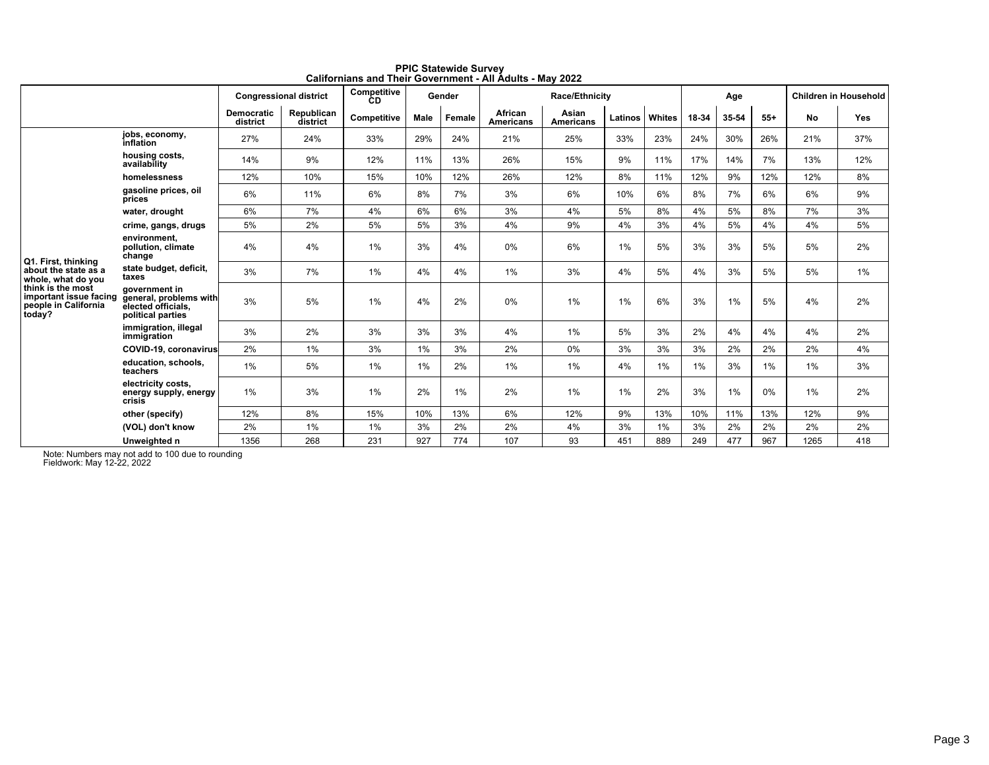|                                                                               |                                                                                    |                               | <b>Congressional district</b> | Competitive<br><b>CD</b> |      | Gender |                             | Race/Ethnicity            |         |        |       | Age   |       |           | <b>Children in Household</b> |
|-------------------------------------------------------------------------------|------------------------------------------------------------------------------------|-------------------------------|-------------------------------|--------------------------|------|--------|-----------------------------|---------------------------|---------|--------|-------|-------|-------|-----------|------------------------------|
|                                                                               |                                                                                    | <b>Democratic</b><br>district | Republican<br>district        | Competitive              | Male | Female | African<br><b>Americans</b> | Asian<br><b>Americans</b> | Latinos | Whites | 18-34 | 35-54 | $55+$ | <b>No</b> | <b>Yes</b>                   |
|                                                                               | jobs, economy,<br>inflation                                                        | 27%                           | 24%                           | 33%                      | 29%  | 24%    | 21%                         | 25%                       | 33%     | 23%    | 24%   | 30%   | 26%   | 21%       | 37%                          |
|                                                                               | housing costs,<br>availability                                                     | 14%                           | 9%                            | 12%                      | 11%  | 13%    | 26%                         | 15%                       | 9%      | 11%    | 17%   | 14%   | 7%    | 13%       | 12%                          |
|                                                                               | homelessness                                                                       | 12%                           | 10%                           | 15%                      | 10%  | 12%    | 26%                         | 12%                       | 8%      | 11%    | 12%   | 9%    | 12%   | 12%       | 8%                           |
|                                                                               | gasoline prices, oil<br>prices                                                     | 6%                            | 11%                           | 6%                       | 8%   | 7%     | 3%                          | 6%                        | 10%     | 6%     | 8%    | 7%    | 6%    | 6%        | 9%                           |
|                                                                               | water, drought                                                                     | 6%                            | 7%                            | 4%                       | 6%   | 6%     | 3%                          | 4%                        | 5%      | 8%     | 4%    | 5%    | 8%    | 7%        | 3%                           |
|                                                                               | crime, gangs, drugs                                                                | 5%                            | 2%                            | 5%                       | 5%   | 3%     | 4%                          | 9%                        | 4%      | 3%     | 4%    | 5%    | 4%    | 4%        | 5%                           |
| Q1. First, thinking                                                           | environment.<br>pollution, climate<br>change                                       | 4%                            | 4%                            | 1%                       | 3%   | 4%     | 0%                          | 6%                        | 1%      | 5%     | 3%    | 3%    | 5%    | 5%        | 2%                           |
| about the state as a<br>whole, what do you                                    | state budget, deficit,<br>taxes                                                    | 3%                            | 7%                            | 1%                       | 4%   | 4%     | 1%                          | 3%                        | 4%      | 5%     | 4%    | 3%    | 5%    | 5%        | 1%                           |
| think is the most<br>important issue facing<br>people in California<br>today? | government in<br>general, problems with<br>elected officials.<br>political parties | 3%                            | 5%                            | 1%                       | 4%   | 2%     | 0%                          | 1%                        | 1%      | 6%     | 3%    | 1%    | 5%    | 4%        | 2%                           |
|                                                                               | immigration, illegal<br>immigration                                                | 3%                            | 2%                            | 3%                       | 3%   | 3%     | 4%                          | 1%                        | 5%      | 3%     | 2%    | 4%    | 4%    | 4%        | 2%                           |
|                                                                               | COVID-19, coronavirus                                                              | 2%                            | $1\%$                         | 3%                       | 1%   | 3%     | 2%                          | $0\%$                     | 3%      | 3%     | 3%    | 2%    | 2%    | 2%        | 4%                           |
|                                                                               | education, schools,<br>teachers                                                    | $1\%$                         | 5%                            | 1%                       | 1%   | 2%     | $1\%$                       | 1%                        | 4%      | $1\%$  | $1\%$ | 3%    | 1%    | 1%        | 3%                           |
|                                                                               | electricity costs,<br>energy supply, energy<br>crisis                              | 1%                            | 3%                            | 1%                       | 2%   | $1\%$  | 2%                          | 1%                        | 1%      | 2%     | 3%    | $1\%$ | 0%    | 1%        | 2%                           |
|                                                                               | other (specify)                                                                    | 12%                           | 8%                            | 15%                      | 10%  | 13%    | 6%                          | 12%                       | 9%      | 13%    | 10%   | 11%   | 13%   | 12%       | 9%                           |
|                                                                               | (VOL) don't know                                                                   | 2%                            | 1%                            | 1%                       | 3%   | 2%     | 2%                          | 4%                        | 3%      | $1\%$  | 3%    | 2%    | 2%    | 2%        | 2%                           |
|                                                                               | Unweighted n                                                                       | 1356                          | 268                           | 231                      | 927  | 774    | 107                         | 93                        | 451     | 889    | 249   | 477   | 967   | 1265      | 418                          |

**PPIC Statewide Survey Californians and Their Government - All Adults - May 2022**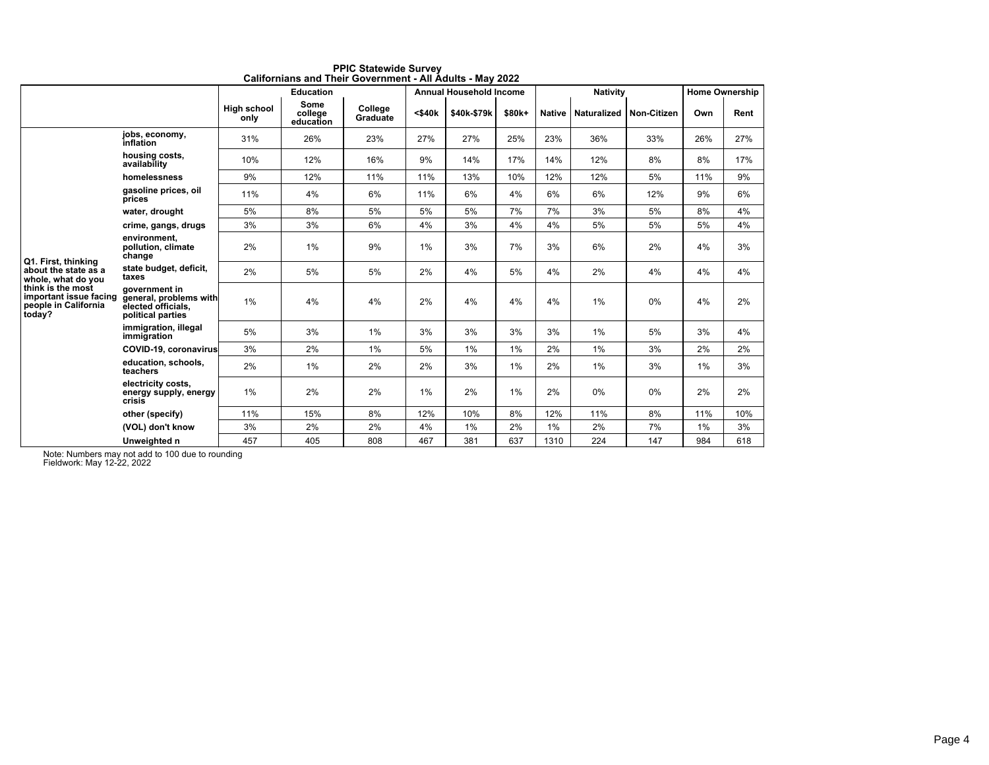|                                                                               |                                                                                    |                            | <b>Education</b>             |                     |              | F''<br><b>Annual Household Income</b> |        |               | <b>Nativity</b> |             | <b>Home Ownership</b> |      |
|-------------------------------------------------------------------------------|------------------------------------------------------------------------------------|----------------------------|------------------------------|---------------------|--------------|---------------------------------------|--------|---------------|-----------------|-------------|-----------------------|------|
|                                                                               |                                                                                    |                            |                              |                     |              |                                       |        |               |                 |             |                       |      |
|                                                                               |                                                                                    | <b>High school</b><br>only | Some<br>college<br>education | College<br>Graduate | $<$ \$40 $k$ | \$40k-\$79k                           | \$80k+ | <b>Native</b> | Naturalized     | Non-Citizen | Own                   | Rent |
|                                                                               | jobs, economy,<br>inflation                                                        | 31%                        | 26%                          | 23%                 | 27%          | 27%                                   | 25%    | 23%           | 36%             | 33%         | 26%                   | 27%  |
|                                                                               | housing costs,<br>availability                                                     | 10%                        | 12%                          | 16%                 | 9%           | 14%                                   | 17%    | 14%           | 12%             | 8%          | 8%                    | 17%  |
|                                                                               | homelessness                                                                       | 9%                         | 12%                          | 11%                 | 11%          | 13%                                   | 10%    | 12%           | 12%             | 5%          | 11%                   | 9%   |
|                                                                               | gasoline prices, oil<br>prices                                                     | 11%                        | 4%                           | 6%                  | 11%          | 6%                                    | 4%     | 6%            | 6%              | 12%         | 9%                    | 6%   |
|                                                                               | water, drought                                                                     | 5%                         | 8%                           | 5%                  | 5%           | 5%                                    | 7%     | 7%            | 3%              | 5%          | 8%                    | 4%   |
|                                                                               | crime, gangs, drugs                                                                | 3%                         | 3%                           | 6%                  | 4%           | 3%                                    | 4%     | 4%            | 5%              | 5%          | 5%                    | 4%   |
| Q1. First, thinking                                                           | environment.<br>pollution, climate<br>change                                       | 2%                         | 1%                           | 9%                  | 1%           | 3%                                    | 7%     | 3%            | 6%              | 2%          | 4%                    | 3%   |
| about the state as a<br>whole, what do you                                    | state budget, deficit,<br>taxes                                                    | 2%                         | 5%                           | 5%                  | 2%           | 4%                                    | 5%     | 4%            | 2%              | 4%          | 4%                    | 4%   |
| think is the most<br>important issue facing<br>people in California<br>today? | government in<br>general, problems with<br>elected officials.<br>political parties | 1%                         | 4%                           | 4%                  | 2%           | 4%                                    | 4%     | 4%            | 1%              | $0\%$       | 4%                    | 2%   |
|                                                                               | immigration, illegal<br>immigration                                                | 5%                         | 3%                           | 1%                  | 3%           | 3%                                    | 3%     | 3%            | 1%              | 5%          | 3%                    | 4%   |
|                                                                               | COVID-19, coronavirus                                                              | 3%                         | 2%                           | $1\%$               | 5%           | $1\%$                                 | 1%     | 2%            | $1\%$           | 3%          | 2%                    | 2%   |
|                                                                               | education, schools,<br>teachers                                                    | 2%                         | 1%                           | 2%                  | 2%           | 3%                                    | 1%     | 2%            | 1%              | 3%          | 1%                    | 3%   |
|                                                                               | electricity costs.<br>energy supply, energy<br><b>crisis</b>                       | 1%                         | 2%                           | 2%                  | 1%           | 2%                                    | 1%     | 2%            | 0%              | 0%          | 2%                    | 2%   |
|                                                                               | other (specify)                                                                    | 11%                        | 15%                          | 8%                  | 12%          | 10%                                   | 8%     | 12%           | 11%             | 8%          | 11%                   | 10%  |
|                                                                               | (VOL) don't know                                                                   | 3%                         | 2%                           | 2%                  | 4%           | 1%                                    | 2%     | 1%            | 2%              | 7%          | 1%                    | 3%   |
|                                                                               | Unweighted n                                                                       | 457                        | 405                          | 808                 | 467          | 381                                   | 637    | 1310          | 224             | 147         | 984                   | 618  |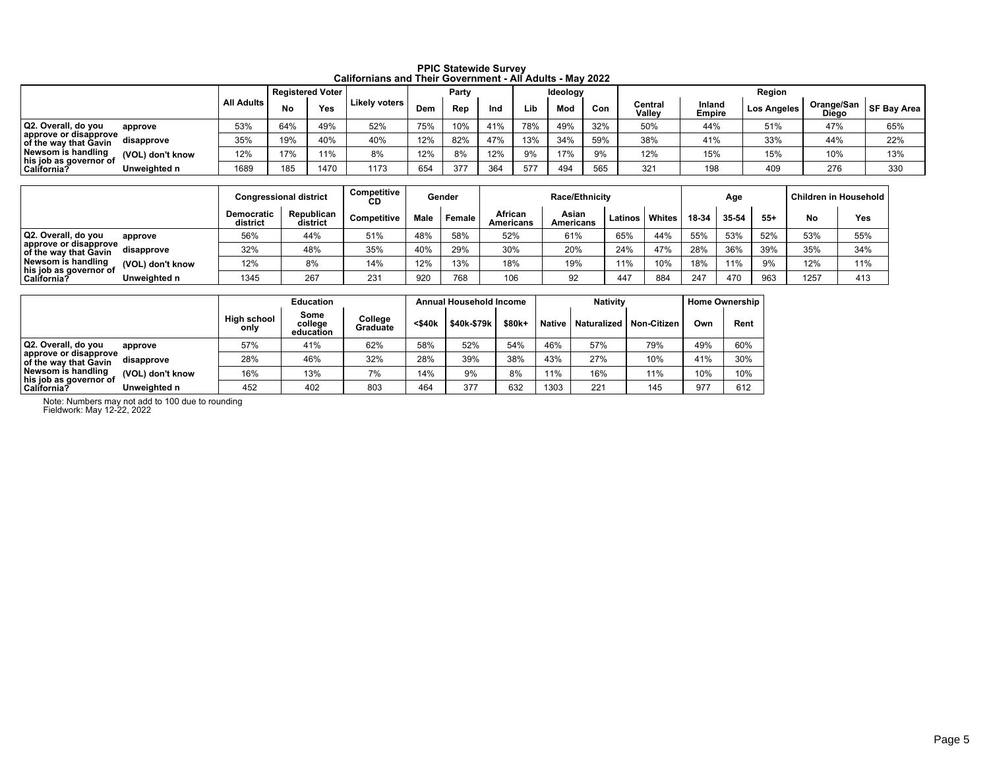|                                                |                  |                   | Registered Voter |            |               |     | Party |     |     | Ideology |     |                   |                         | Region             |                     |             |
|------------------------------------------------|------------------|-------------------|------------------|------------|---------------|-----|-------|-----|-----|----------|-----|-------------------|-------------------------|--------------------|---------------------|-------------|
|                                                |                  | <b>All Adults</b> | <b>No</b>        | <b>Yes</b> | Likely voters | Dem | Rep   | Ind | Lib | Mod      | Con | Central<br>Valley | Inland<br><b>Empire</b> | <b>Los Angeles</b> | Orange/San<br>Diego | SF Bay Area |
| Q2. Overall, do you                            | approve          | 53%               | 64%              | 49%        | 52%           | 75% | 10%   | 41% | 78% | 49%      | 32% | 50%               | 44%                     | 51%                | 47%                 | 65%         |
| approve or disapprove<br>of the way that Gavin | disapprove       | 35%               | 19%              | 40%        | 40%           | 12% | 82%   | 47% | 13% | 34%      | 59% | 38%               | 41%                     | 33%                | 44%                 | 22%         |
| Newsom is handling                             | (VOL) don't know | 12%               | 17%              | 11%        | 8%            | 12% | 8%    | 12% | 9%  | 17%      | 9%  | 12%               | 15%                     | 15%                | 10%                 | 13%         |
| his job as governor of<br>California?          | Unweighted n     | 1689              | 185              | 1470       | 1173          | 654 | 377   | 364 | 577 | 494      | 565 | 321               | 198                     | 409                | 276                 | 330         |

|                                                |                  | <b>Congressional district</b> |                        | Competitive<br>CD  |      | Gender |                             | <b>Race/Ethnicity</b> |         |        |       | Age   |       |           | Children in Household |
|------------------------------------------------|------------------|-------------------------------|------------------------|--------------------|------|--------|-----------------------------|-----------------------|---------|--------|-------|-------|-------|-----------|-----------------------|
|                                                |                  | <b>Democratic</b><br>district | Republican<br>district | <b>Competitive</b> | Male | Female | African<br><b>Americans</b> | Asian<br>Americans    | Latinos | Whites | 18-34 | 35-54 | $55+$ | <b>No</b> | Yes                   |
| Q2. Overall, do you                            | approve          | 56%                           | 44%                    | 51%                | 48%  | 58%    | 52%                         | 61%                   | 65%     | 44%    | 55%   | 53%   | 52%   | 53%       | 55%                   |
| approve or disapprove<br>of the way that Gavin | disapprove       | 32%                           | 48%                    | 35%                | 40%  | 29%    | 30%                         | 20%                   | 24%     | 47%    | 28%   | 36%   | 39%   | 35%       | 34%                   |
| Newsom is handling<br>his job as governor of   | (VOL) don't know | 12%                           | 8%                     | 14%                | 12%  | 13%    | 18%                         | 19%                   | 11%     | 10%    | 18%   | 11%   | 9%    | 12%       | 11%                   |
| California?                                    | Unweighted n     | 1345                          | 267                    | 231                | 920  | 768    | 106                         | 92                    | 447     | 884    | 247   | 470   | 963   | 1257      | 413                   |

|                                                  |                  |                     | <b>Education</b>             |                     |        | Annual Household Income |        |        | <b>Nativity</b> |               |     | Home Ownership |
|--------------------------------------------------|------------------|---------------------|------------------------------|---------------------|--------|-------------------------|--------|--------|-----------------|---------------|-----|----------------|
|                                                  |                  | High school<br>only | Some<br>college<br>education | College<br>Graduate | <\$40k | \$40k-\$79k             | \$80k+ | Native | Naturalized L   | l Non-Citizen | Own | Rent           |
| Q2. Overall, do you                              | approve          | 57%                 | 41%                          | 62%                 | 58%    | 52%                     | 54%    | 46%    | 57%             | 79%           | 49% | 60%            |
| approve or disapprove<br>l of the wav that Gavin | disapprove       | 28%                 | 46%                          | 32%                 | 28%    | 39%                     | 38%    | 43%    | 27%             | 10%           | 41% | 30%            |
| Newsom is handling<br>his job as governor of     | (VOL) don't know | 16%                 | 13%                          | 7%                  | 14%    | 9%                      | 8%     | 11%    | 16%             | 11%           | 10% | 10%            |
| California?                                      | Unweighted n     | 452                 | 402                          | 803                 | 464    | 377                     | 632    | 1303   | 221             | 145           | 977 | 612            |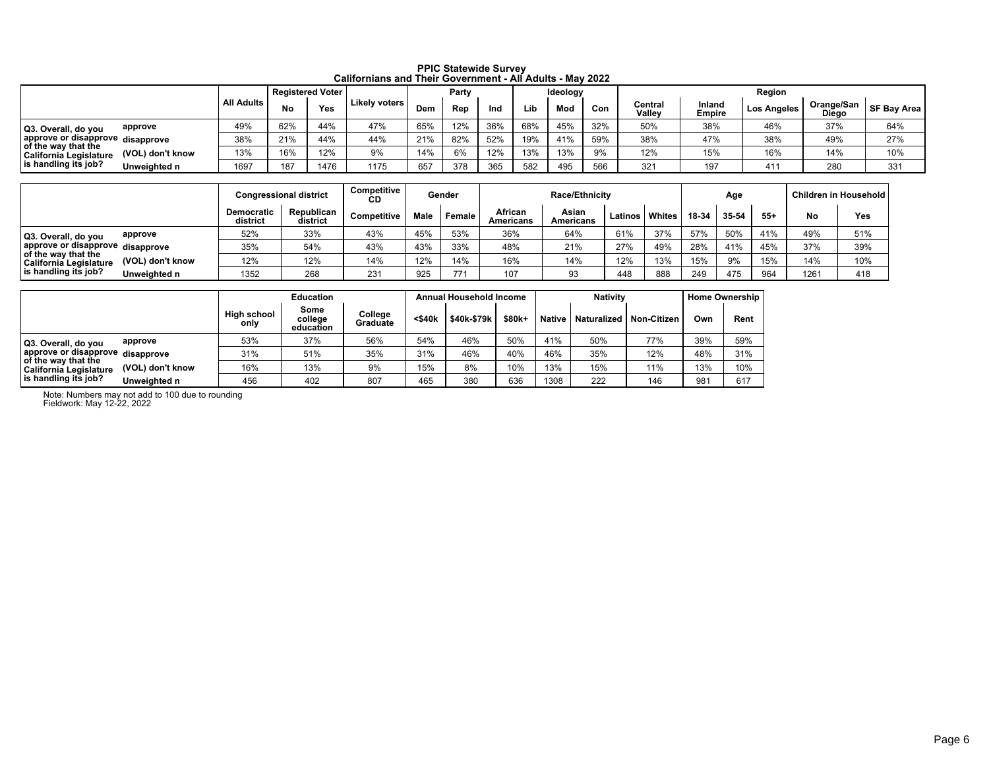|                                                 |                   |           |            | <b>Registered Voter</b> |      |     | Party |     |     | Ideology   |                   |                         |             | Region              |               |     |
|-------------------------------------------------|-------------------|-----------|------------|-------------------------|------|-----|-------|-----|-----|------------|-------------------|-------------------------|-------------|---------------------|---------------|-----|
| approve                                         | <b>All Adults</b> | <b>No</b> | <b>Yes</b> | Likelv voters l         | Dem  | Rep | Ind   | Lib | Mod | <b>Con</b> | Central<br>Valley | Inland<br><b>Empire</b> | Los Angeles | Orange/San<br>Diego | l SF Bav Area |     |
| Q3. Overall, do you                             |                   | 49%       | 62%        | 44%                     | 47%  | 65% | 12%   | 36% | 68% | 45%        | 32%               | 50%                     | 38%         | 46%                 | 37%           | 64% |
| approve or disapprove disapprove,               |                   | 38%       | 21%        | 44%                     | 44%  | 21% | 82%   | 52% | 19% | 41%        | 59%               | 38%                     | 47%         | 38%                 | 49%           | 27% |
| of the way that the<br>, California Legislature | (VOL) don't know  | 13%       | 16%        | 12%                     | 9%   | 14% | 6%    | 12% | 13% | 13%        | 9%                | 12%                     | 15%         | 16%                 | 14%           | 10% |
| is handling its job?                            | Unweighted n      | 1697      | 187        | 1476                    | 1175 | 657 | 378   | 365 | 582 | 495        | 566               | 321                     | 197         | 411                 | 280           | 331 |

|                                               |                  | <b>Congressional district</b> |                        | <b>Competitive</b><br>CD |      | Gender |                             | Race/Ethnicity     |                  |     |       | Age   |       |           | Children in Household |
|-----------------------------------------------|------------------|-------------------------------|------------------------|--------------------------|------|--------|-----------------------------|--------------------|------------------|-----|-------|-------|-------|-----------|-----------------------|
|                                               |                  | <b>Democratic</b><br>district | Republican<br>district | <b>Competitive</b>       | Male | Female | African<br><b>Americans</b> | Asian<br>Americans | Latinos   Whites |     | 18-34 | 35-54 | $55+$ | <b>No</b> | Yes                   |
| Q3. Overall, do you                           | approve          | 52%                           | 33%                    | 43%                      | 45%  | 53%    | 36%                         | 64%                | 61%              | 37% | 57%   | 50%   | 41%   | 49%       | 51%                   |
| approve or disapprove disapprove              |                  | 35%                           | 54%                    | 43%                      | 43%  | 33%    | 48%                         | 21%                | 27%              | 49% | 28%   | 41%   | 45%   | 37%       | 39%                   |
| of the way that the<br>California Legislature | (VOL) don't know | 12%                           | 12%                    | 14%                      | 12%  | 14%    | 16%                         | 14%                | 12%              | 13% | 15%   | 9%    | 15%   | 14%       | 10%                   |
| is handling its job?                          | Unweighted n     | 1352                          | 268                    | 231                      | 925  | 771    | 107                         | 93                 | 448              | 888 | 249   | 475   | 964   | 1261      | 418                   |

|                                               |                  |                     | <b>Education</b>             |                     |        | <b>Annual Household Income</b> |        |        | <b>Nativity</b> |             |     | <b>Home Ownership</b> |
|-----------------------------------------------|------------------|---------------------|------------------------------|---------------------|--------|--------------------------------|--------|--------|-----------------|-------------|-----|-----------------------|
|                                               |                  | High school<br>only | Some<br>college<br>education | College<br>Graduate | <\$40k | \$40k-\$79k                    | \$80k+ | Native | l Naturalized l | Non-Citizen | Own | Rent                  |
| Q3. Overall, do you                           | approve          | 53%                 | 37%                          | 56%                 | 54%    | 46%                            | 50%    | 41%    | 50%             | 77%         | 39% | 59%                   |
| approve or disapprove                         | disapprove       | 31%                 | 51%                          | 35%                 | 31%    | 46%                            | 40%    | 46%    | 35%             | 12%         | 48% | 31%                   |
| of the way that the<br>California Legislature | (VOL) don't know | 16%                 | 13%                          | 9%                  | 15%    | 8%                             | 10%    | 13%    | 15%             | 11%         | 13% | 10%                   |
| is handling its job?                          | Unweighted n     | 456                 | 402                          | 807                 | 465    | 380                            | 636    | 1308   | 222             | 146         | 981 | 617                   |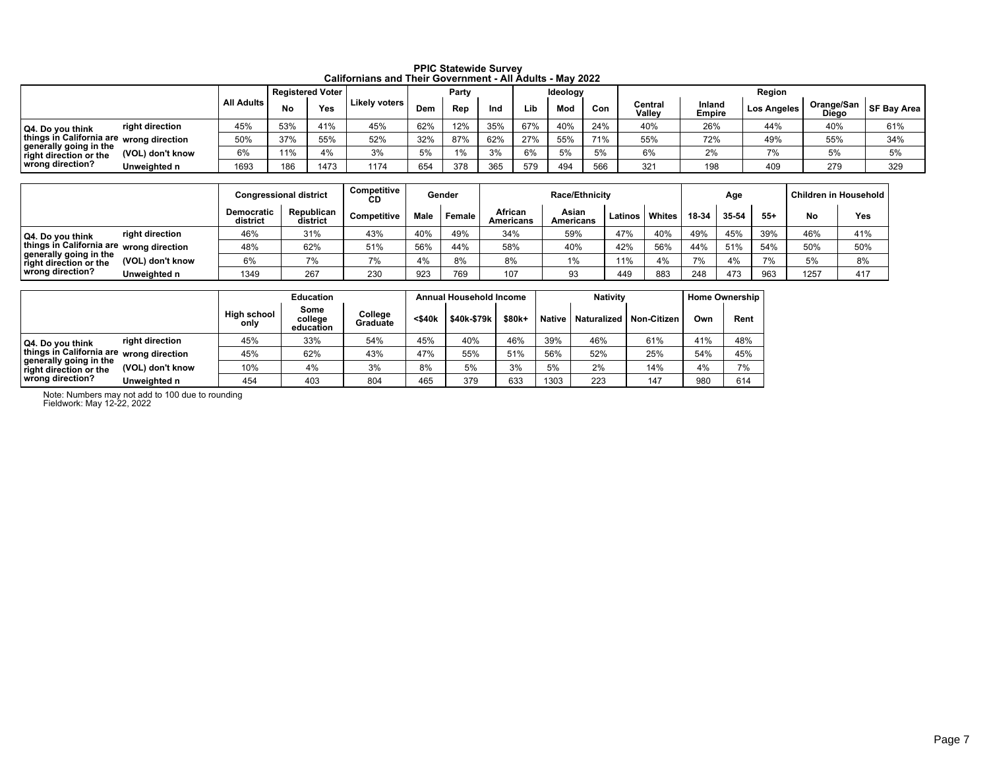|                                                  |                  |                   |           | <b>Registered Voter</b> |               |     | Party |     |     | Ideology |     |                   |                         | Region      |                       |                    |
|--------------------------------------------------|------------------|-------------------|-----------|-------------------------|---------------|-----|-------|-----|-----|----------|-----|-------------------|-------------------------|-------------|-----------------------|--------------------|
|                                                  |                  | <b>All Adults</b> | <b>No</b> | Yes                     | Likely voters | Dem | Rep   | Ind | Lib | Mod      | Con | Central<br>Valley | Inland<br><b>Empire</b> | Los Angeles | Orange/San  <br>Diego | <b>SF Bay Area</b> |
| Q4. Do you think                                 | right direction  | 45%               | 53%       | 41%                     | 45%           | 62% | 12%   | 35% | 67% | 40%      | 24% | 40%               | 26%                     | 44%         | 40%                   | 61%                |
| things in California are wrong direction         |                  | 50%               | 37%       | 55%                     | 52%           | 32% | 87%   | 62% | 27% | 55%      | 71% | 55%               | 72%                     | 49%         | 55%                   | 34%                |
| generally going in the<br>right direction or the | (VOL) don't know | 6%                | 1%        | 4%                      | 3%            | 5%  | 1%    | 3%  | 6%  | 5%       | 5%  | 6%                | 2%                      | 7%          | 5%                    | 5%                 |
| wrong direction?                                 | Unweighted n     | 1693              | 186       | 1473                    | 1174          | 654 | 378   | 365 | 579 | 494      | 566 | 321               | 198                     | 409         | 279                   | 329                |

|                                                  |                  | <b>Congressional district</b> |                        | Competitive<br>CD  |      | Gender |                             | Race/Ethnicity     |                  |     |       | Age   |       | Children in Household |            |
|--------------------------------------------------|------------------|-------------------------------|------------------------|--------------------|------|--------|-----------------------------|--------------------|------------------|-----|-------|-------|-------|-----------------------|------------|
|                                                  |                  | Democratic<br>district        | Republican<br>district | <b>Competitive</b> | Male | Female | African<br><b>Americans</b> | Asian<br>Americans | Latinos   Whites |     | 18-34 | 35-54 | $55+$ | No                    | <b>Yes</b> |
| Q4. Do you think                                 | right direction  | 46%                           | 31%                    | 43%                | 40%  | 49%    | 34%                         | 59%                | 47%              | 40% | 49%   | 45%   | 39%   | 46%                   | 41%        |
| things in California are wrong direction         |                  | 48%                           | 62%                    | 51%                | 56%  | 44%    | 58%                         | 40%                | 42%              | 56% | 44%   | 51%   | 54%   | 50%                   | 50%        |
| generally going in the<br>right direction or the | (VOL) don't know | 6%                            | 7%                     | 7%                 | 4%   | 8%     | 8%                          | 1%                 | 11%              | 4%  | 7%    | 4%    | 7%    | 5%                    | 8%         |
| wrong direction?                                 | Unweighted n     | 1349                          | 267                    | 230                | 923  | 769    | 107                         | 93                 | 449              | 883 | 248   | 473   | 963   | 1257                  | 417        |

|                                                  |                  |                     | <b>Education</b>             |                     |        | Annual Household Income |        |        | <b>Nativity</b> |             |     | <b>Home Ownership</b> |
|--------------------------------------------------|------------------|---------------------|------------------------------|---------------------|--------|-------------------------|--------|--------|-----------------|-------------|-----|-----------------------|
|                                                  |                  | High school<br>only | Some<br>college<br>education | College<br>Graduate | <\$40k | \$40k-\$79k             | \$80k+ | Native | Naturalized     | Non-Citizen | Own | Rent                  |
| <b>Q4. Do vou think</b>                          | right direction  | 45%                 | 33%                          | 54%                 | 45%    | 40%                     | 46%    | 39%    | 46%             | 61%         | 41% | 48%                   |
| things in California are wrong direction         |                  | 45%                 | 62%                          | 43%                 | 47%    | 55%                     | 51%    | 56%    | 52%             | 25%         | 54% | 45%                   |
| generally going in the<br>right direction or the | (VOL) don't know | 10%                 | 4%                           | 3%                  | 8%     | 5%                      | 3%     | 5%     | 2%              | 14%         | 4%  | 7%                    |
| wrong direction?                                 | Unweighted n     | 454                 | 403                          | 804                 | 465    | 379                     | 633    | 1303   | 223             | 147         | 980 | 614                   |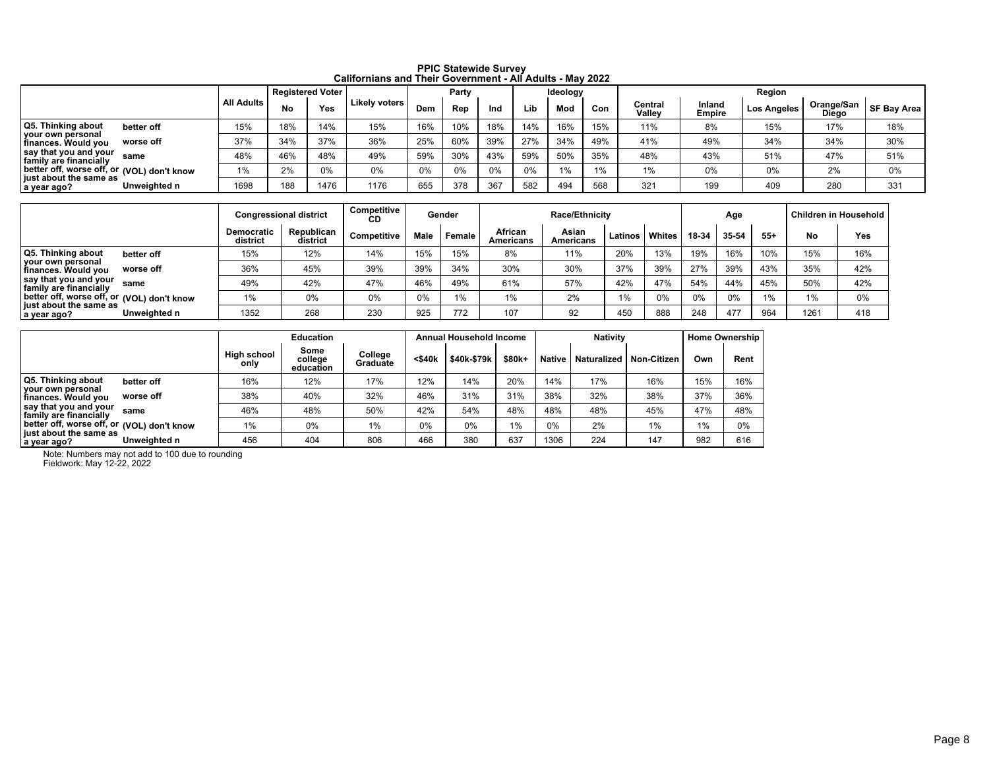|                                                                      |              |                   | Registered Voter |      |               |     | Party |     |     | Ideology |     |                   |                         | Region      |                     |             |
|----------------------------------------------------------------------|--------------|-------------------|------------------|------|---------------|-----|-------|-----|-----|----------|-----|-------------------|-------------------------|-------------|---------------------|-------------|
|                                                                      |              | <b>All Adults</b> | No               | Yes  | Likely voters | Dem | Rep   | Ind | Lib | Mod      | Con | Central<br>Valley | Inland<br><b>Empire</b> | Los Angeles | Orange/San<br>Diego | SF Bay Area |
| Q5. Thinking about                                                   | better off   | 15%               | 18%              | 14%  | 15%           | 16% | 10%   | 18% | 14% | 16%      | 15% | 11%               | 8%                      | 15%         | 17%                 | 18%         |
| your own personal<br>' finances. Would you                           | worse off    | 37%               | 34%              | 37%  | 36%           | 25% | 60%   | 39% | 27% | 34%      | 49% | 41%               | 49%                     | 34%         | 34%                 | 30%         |
| say that you and your<br><b>family are financially</b>               | same         | 48%               | 46%              | 48%  | 49%           | 59% | 30%   | 43% | 59% | 50%      | 35% | 48%               | 43%                     | 51%         | 47%                 | 51%         |
| better off, worse off, or (VOL) don't know<br>iust about the same as |              | 1%                | 2%               | 0%   | 0%            | 0%  | 0%    | 0%  | 0%  | 1%       | 1%  | 1%                | 0%                      | 0%          | 2%                  | 0%          |
| ∣a year ago?                                                         | Unweighted n | 1698              | 188              | 1476 | 1176          | 655 | 378   | 367 | 582 | 494      | 568 | 321               | 199                     | 409         | 280                 | 331         |

|                                                   |              | <b>Congressional district</b> |                        | Competitive<br>CD |      | Gender |                             | <b>Race/Ethnicity</b> |         |        |       | Age   |       | Children in Household |            |
|---------------------------------------------------|--------------|-------------------------------|------------------------|-------------------|------|--------|-----------------------------|-----------------------|---------|--------|-------|-------|-------|-----------------------|------------|
|                                                   | better off   |                               | Republican<br>district | Competitive       | Male | Female | African<br><b>Americans</b> | Asian<br>Americans    | Latinos | Whites | 18-34 | 35-54 | $55+$ | <b>No</b>             | <b>Yes</b> |
| Q5. Thinking about                                |              | 15%                           | 12%                    | 14%               | 15%  | 15%    | 8%                          | 11%                   | 20%     | 13%    | 19%   | 16%   | 10%   | 15%                   | 16%        |
| vour own personal<br>finances. Would vou          | worse off    | 36%                           | 45%                    | 39%               | 39%  | 34%    | 30%                         | 30%                   | 37%     | 39%    | 27%   | 39%   | 43%   | 35%                   | 42%        |
| say that you and your<br>  family are financially | same         | 49%                           | 42%                    | 47%               | 46%  | 49%    | 61%                         | 57%                   | 42%     | 47%    | 54%   | 44%   | 45%   | 50%                   | 42%        |
| i better off, worse off, or (VOL) don't know      |              | 1%                            | 0%                     | 0%                | 0%   | 1%     | 1%                          | 2%                    | $1\%$   | 0%     | 0%    | 0%    | 1%    | 1%                    | 0%         |
| iust about the same as \<br>∣a year ago?          | Unweighted n | 1352                          | 268                    | 230               | 925  | 772    | 107                         | 92                    | 450     | 888    | 248   | 477   | 964   | 1261                  | 418        |

|                                                 |              |                     | <b>Education</b>             |                     |        | Annual Household Income |        |               | <b>Nativity</b> |                           |     | <b>Home Ownership</b> |
|-------------------------------------------------|--------------|---------------------|------------------------------|---------------------|--------|-------------------------|--------|---------------|-----------------|---------------------------|-----|-----------------------|
|                                                 |              | High school<br>only | Some<br>college<br>education | College<br>Graduate | <\$40k | \$40k-\$79k             | \$80k+ | <b>Native</b> |                 | Naturalized   Non-Citizen | Own | Rent                  |
| Q5. Thinking about                              | better off   | 16%                 | 12%                          | 17%                 | 12%    | 14%                     | 20%    | 14%           | 17%             | 16%                       | 15% | 16%                   |
| ∖ vour own personal<br>finances. Would you      | worse off    | 38%                 | 40%                          | 32%                 | 46%    | 31%                     | 31%    | 38%           | 32%             | 38%                       | 37% | 36%                   |
| say that you and your<br>family are financially | same         | 46%                 | 48%                          | 50%                 | 42%    | 54%                     | 48%    | 48%           | 48%             | 45%                       | 47% | 48%                   |
| better off, worse off, or (VOL) don't know      |              | 1%                  | 0%                           | 1%                  | 0%     | 0%                      | $1\%$  | 0%            | 2%              | $1\%$                     | 1%  | 0%                    |
| just about the same as<br>∣a year ago?          | Unweighted n | 456                 | 404                          | 806                 | 466    | 380                     | 637    | 1306          | 224             | 147                       | 982 | 616                   |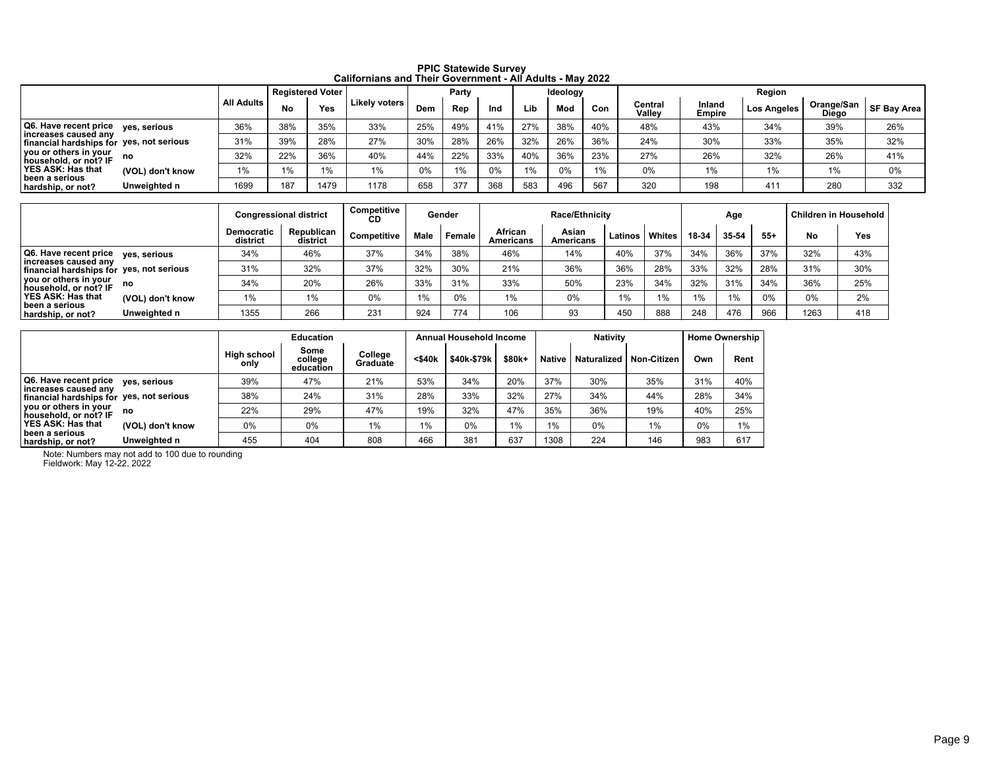|                                                                    |                  |                   | <b>Registered Voter</b> |       |                      |     | Party |     |       | Ideology |     |                   |                         | Region      |                     |                    |
|--------------------------------------------------------------------|------------------|-------------------|-------------------------|-------|----------------------|-----|-------|-----|-------|----------|-----|-------------------|-------------------------|-------------|---------------------|--------------------|
|                                                                    |                  | <b>All Adults</b> | No                      | Yes   | <b>Likely voters</b> | Dem | Rep   | Ind | Lib   | Mod      | Con | Central<br>Valley | Inland<br><b>Empire</b> | Los Angeles | Orange/San<br>Diego | <b>SF Bay Area</b> |
| Q6. Have recent price                                              | ves, serious     | 36%               | 38%                     | 35%   | 33%                  | 25% | 49%   | 41% | 27%   | 38%      | 40% | 48%               | 43%                     | 34%         | 39%                 | 26%                |
| increases caused any<br>financial hardships for yes, not serious ' |                  | 31%               | 39%                     | 28%   | 27%                  | 30% | 28%   | 26% | 32%   | 26%      | 36% | 24%               | 30%                     | 33%         | 35%                 | 32%                |
| you or others in your<br>household, or not? IF                     | no               | 32%               | 22%                     | 36%   | 40%                  | 44% | 22%   | 33% | 40%   | 36%      | 23% | 27%               | 26%                     | 32%         | 26%                 | 41%                |
| YES ASK: Has that                                                  | (VOL) don't know | $1\%$             | 1%                      | $1\%$ | 1%                   | 0%  | 1%    | 0%  | $1\%$ | $0\%$    | 1%  | 0%                | 1%                      | $1\%$       | 1%                  | 0%                 |
| been a serious<br>hardship, or not?                                | Unweighted n     | 1699              | 187                     | 1479  | 1178                 | 658 | 377   | 368 | 583   | 496      | 567 | 320               | 198                     | 411         | 280                 | 332                |

|                                                                  |                          |      | Competitive<br><b>Congressional district</b><br>Republican<br><b>Democratic</b> |             |      | Gender |                             | <b>Race/Ethnicity</b> |         |               |       | Age   |       | Children in Household |     |
|------------------------------------------------------------------|--------------------------|------|---------------------------------------------------------------------------------|-------------|------|--------|-----------------------------|-----------------------|---------|---------------|-------|-------|-------|-----------------------|-----|
|                                                                  | district<br>ves. serious |      | district                                                                        | Competitive | Male | Female | African<br><b>Americans</b> | Asian<br>Americans    | Latinos | <b>Whites</b> | 18-34 | 35-54 | $55+$ | No                    | Yes |
| Q6. Have recent price                                            |                          | 34%  | 46%                                                                             | 37%         | 34%  | 38%    | 46%                         | 14%                   | 40%     | 37%           | 34%   | 36%   | 37%   | 32%                   | 43% |
| increases caused any<br>financial hardships for yes, not serious |                          | 31%  | 32%                                                                             | 37%         | 32%  | 30%    | 21%                         | 36%                   | 36%     | 28%           | 33%   | 32%   | 28%   | 31%                   | 30% |
| you or others in your<br>household, or not? IF                   | no                       | 34%  | 20%                                                                             | 26%         | 33%  | 31%    | 33%                         | 50%                   | 23%     | 34%           | 32%   | 31%   | 34%   | 36%                   | 25% |
| <b>YES ASK: Has that</b>                                         | (VOL) don't know         | 1%   | 1%                                                                              | $0\%$       | 1%   | 0%     | 1%                          | 0%                    | 1%      | 1%            | 1%    | 1%    | 0%    | 0%                    | 2%  |
| been a serious<br>hardship, or not?                              | Unweighted n             | 1355 | 266                                                                             | 231         | 924  | 774    | 106                         | 93                    | 450     | 888           | 248   | 476   | 966   | 1263                  | 418 |

|                                                                  |                  |                     | <b>Education</b>             |                     |        | Annual Household Income |        |               | <b>Nativity</b> |             |     | <b>Home Ownership</b> |
|------------------------------------------------------------------|------------------|---------------------|------------------------------|---------------------|--------|-------------------------|--------|---------------|-----------------|-------------|-----|-----------------------|
|                                                                  |                  | High school<br>only | Some<br>college<br>education | College<br>Graduate | <\$40k | \$40k-\$79k             | \$80k+ | <b>Native</b> | Naturalized I   | Non-Citizen | Own | Rent                  |
| Q6. Have recent price                                            | ves, serious     | 39%                 | 47%                          | 21%                 | 53%    | 34%                     | 20%    | 37%           | 30%             | 35%         | 31% | 40%                   |
| increases caused anv<br>financial hardships for yes, not serious |                  | 38%                 | 24%                          | 31%                 | 28%    | 33%                     | 32%    | 27%           | 34%             | 44%         | 28% | 34%                   |
| you or others in your<br>household, or not? IF                   | no               | 22%                 | 29%                          | 47%                 | 19%    | 32%                     | 47%    | 35%           | 36%             | 19%         | 40% | 25%                   |
| <b>YES ASK: Has that</b>                                         | (VOL) don't know | $0\%$               | $0\%$                        | 1%                  | $1\%$  | 0%                      | $1\%$  | 1%            | 0%              | $1\%$       | 0%  | 1%                    |
| l been a serious<br>hardship, or not?                            | Unweighted n     | 455                 | 404                          | 808                 | 466    | 381                     | 637    | 1308          | 224             | 146         | 983 | 617                   |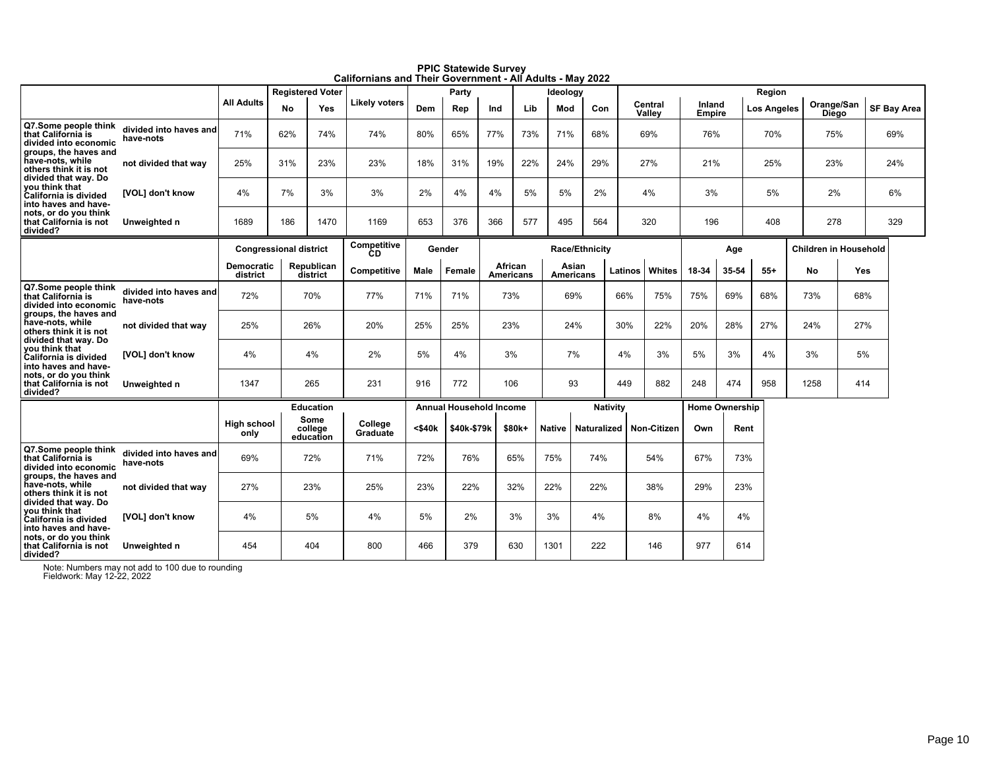|                                                                                             |                                     |                               | <b>Registered Voter</b>       |                              |                      |            | Party                          |     |                             | Ideology         |                    |         |                    |                         |       | Region             |                              |                     |                    |
|---------------------------------------------------------------------------------------------|-------------------------------------|-------------------------------|-------------------------------|------------------------------|----------------------|------------|--------------------------------|-----|-----------------------------|------------------|--------------------|---------|--------------------|-------------------------|-------|--------------------|------------------------------|---------------------|--------------------|
|                                                                                             |                                     | <b>All Adults</b>             | <b>No</b>                     | <b>Yes</b>                   | <b>Likely voters</b> | <b>Dem</b> | Rep                            | Ind | Lib                         | Mod              | Con                |         | Central<br>Vallev  | Inland<br><b>Empire</b> |       | <b>Los Angeles</b> |                              | Orange/San<br>Diego | <b>SF Bay Area</b> |
| Q7.Some people think<br>that California is<br>divided into economic                         | divided into haves and<br>have-nots | 71%                           | 62%                           | 74%                          | 74%                  | 80%        | 65%                            | 77% | 73%                         | 71%              | 68%                |         | 69%                | 76%                     |       | 70%                |                              | 75%                 | 69%                |
| groups, the haves and<br>have-nots, while<br>others think it is not<br>divided that way. Do | not divided that way                | 25%                           | 31%                           | 23%                          | 23%                  | 18%        | 31%                            | 19% | 22%                         | 24%              | 29%                |         | 27%                | 21%                     |       | 25%                |                              | 23%                 | 24%                |
| you think that<br>California is divided<br>into haves and have-                             | [VOL] don't know                    | 4%                            | 7%                            | 3%                           | 3%                   | 2%         | 4%                             | 4%  | 5%                          | 5%               | 2%                 |         | 4%                 | 3%                      |       | 5%                 |                              | 2%                  | 6%                 |
| nots, or do you think<br>that California is not<br>divided?                                 | Unweighted n                        | 1689                          | 186                           | 1470                         | 1169                 | 653        | 376                            | 366 | 577                         | 495              | 564                |         | 320                | 196                     |       | 408                |                              | 278                 | 329                |
|                                                                                             |                                     |                               | <b>Congressional district</b> |                              | Competitive<br>ĊD    |            | Gender                         |     |                             |                  | Race/Ethnicity     |         |                    |                         | Age   |                    | <b>Children in Household</b> |                     |                    |
|                                                                                             |                                     | <b>Democratic</b><br>district |                               | Republican<br>district       | Competitive          | Male       | Female                         |     | African<br><b>Americans</b> | <b>Americans</b> | Asian              | Latinos | Whites             | 18-34                   | 35-54 | $55+$              | <b>No</b>                    | <b>Yes</b>          |                    |
| Q7.Some people think<br>that California is<br>divided into economic                         | divided into haves and<br>have-nots | 72%                           |                               | 70%                          | 77%                  | 71%        | 71%                            |     | 73%                         |                  | 69%                | 66%     | 75%                | 75%                     | 69%   | 68%                | 73%                          | 68%                 |                    |
| groups, the haves and<br>have-nots, while<br>others think it is not<br>divided that way. Do | not divided that way                | 25%                           |                               | 26%                          | 20%                  | 25%        | 25%                            |     | 23%                         |                  | 24%                | 30%     | 22%                | 20%                     | 28%   | 27%                | 24%                          | 27%                 |                    |
| you think that<br>California is divided<br>into haves and have-                             | [VOL] don't know                    | 4%                            |                               | 4%                           | 2%                   | 5%         | 4%                             |     | 3%                          | 7%               |                    | 4%      | 3%                 | 5%                      | 3%    | 4%                 | 3%                           | 5%                  |                    |
| nots, or do you think<br>that California is not<br>divided?                                 | Unweighted n                        | 1347                          |                               | 265                          | 231                  | 916        | 772                            |     | 106                         |                  | 93                 | 449     | 882                | 248                     | 474   | 958                | 1258                         | 414                 |                    |
|                                                                                             |                                     |                               |                               | <b>Education</b>             |                      |            | <b>Annual Household Income</b> |     |                             |                  | <b>Nativity</b>    |         |                    | <b>Home Ownership</b>   |       |                    |                              |                     |                    |
|                                                                                             |                                     | <b>High school</b><br>only    |                               | Some<br>college<br>education | College<br>Graduate  | <\$40k     | \$40k-\$79k                    |     | \$80k+                      | <b>Native</b>    | <b>Naturalized</b> |         | <b>Non-Citizen</b> | Own                     | Rent  |                    |                              |                     |                    |
| Q7.Some people think<br>that California is<br>divided into economic                         | divided into haves and<br>have-nots | 69%                           |                               | 72%                          | 71%                  | 72%        | 76%                            |     | 65%                         | 75%              | 74%                |         | 54%                | 67%                     | 73%   |                    |                              |                     |                    |
| groups, the haves and<br>have-nots, while<br>others think it is not<br>divided that way. Do | not divided that way                | 27%                           |                               | 23%                          | 25%                  | 23%        | 22%                            |     | 32%                         | 22%              | 22%                |         | 38%                | 29%                     | 23%   |                    |                              |                     |                    |
| vou think that<br>California is divided<br>into haves and have-                             | [VOL] don't know                    | 4%                            |                               | 5%                           | 4%                   | 5%         | 2%                             |     | 3%                          | 3%               | 4%                 |         | 8%                 | 4%                      | 4%    |                    |                              |                     |                    |
| nots, or do you think<br>that California is not<br>divided?                                 | Unweighted n                        | 454                           |                               | 404                          | 800                  | 466        | 379                            |     | 630                         | 1301             | 222                |         | 146                | 977                     | 614   |                    |                              |                     |                    |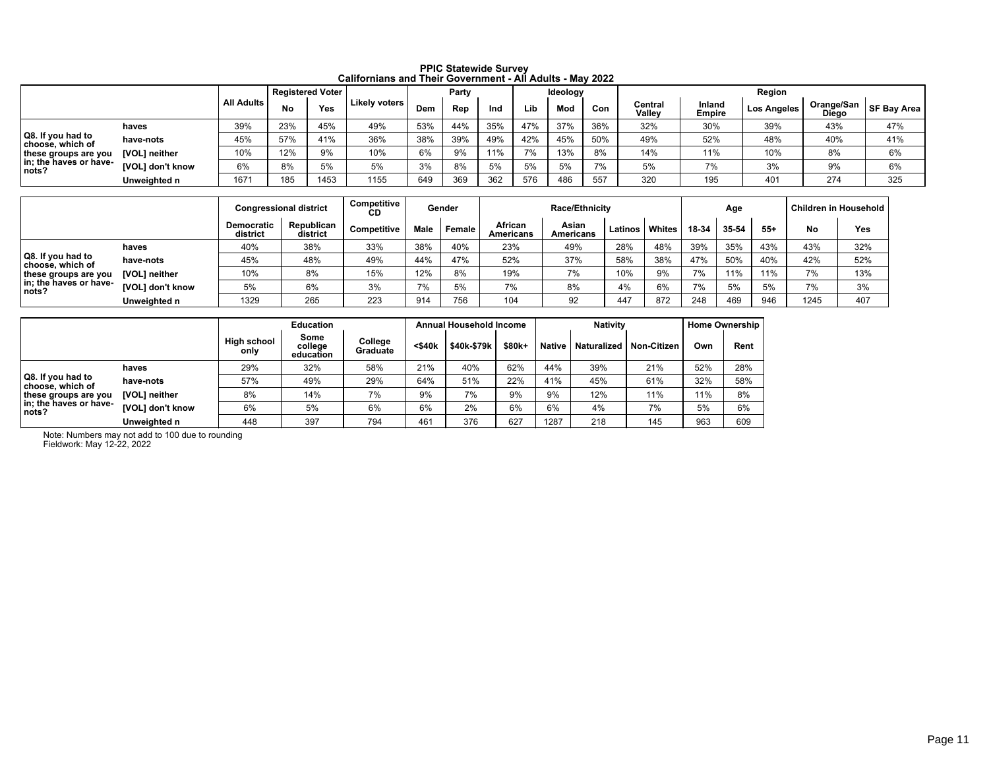|                                                               |                  |                   | Registered Voter |      |                      |     | Party |     |     | Ideology |     |                   |                         | Region      |                     |             |
|---------------------------------------------------------------|------------------|-------------------|------------------|------|----------------------|-----|-------|-----|-----|----------|-----|-------------------|-------------------------|-------------|---------------------|-------------|
|                                                               |                  | <b>All Adults</b> | <b>No</b>        | Yes  | <b>Likely voters</b> | Dem | Rep   | Ind | Lib | Mod      | Con | Central<br>Valley | Inland<br><b>Empire</b> | Los Angeles | Orange/San<br>Diego | SF Bay Area |
|                                                               | haves            | 39%               | 23%              | 45%  | 49%                  | 53% | 44%   | 35% | 47% | 37%      | 36% | 32%               | 30%                     | 39%         | 43%                 | 47%         |
| Q8. If you had to<br>choose, which of<br>these groups are you | have-nots        | 45%               | 57%              | 41%  | 36%                  | 38% | 39%   | 49% | 42% | 45%      | 50% | 49%               | 52%                     | 48%         | 40%                 | 41%         |
|                                                               | [VOL] neither    | 10%               | 12%              | 9%   | 10%                  | 6%  | 9%    | 11% | 7%  | 13%      | 8%  | 14%               | 11%                     | 10%         | 8%                  | 6%          |
| in; the haves or have-<br>nots?                               | [VOL] don't know | 6%                | 8%               | 5%   | 5%                   | 3%  | 8%    | 5%  | 5%  | 5%       | 7%  | 5%                | 7%                      | 3%          | 9%                  | 6%          |
|                                                               | Unweighted n     | 1671              | 185              | 1453 | 1155                 | 649 | 369   | 362 | 576 | 486      | 557 | 320               | 195                     | 401         | 274                 | 325         |
|                                                               |                  |                   |                  |      |                      |     |       |     |     |          |     |                   |                         |             |                     |             |

|                                       |                  | <b>Congressional district</b> |                        | Competitive<br>CD |      | Gender |                             | <b>Race/Ethnicity</b> |                  |     |       | Age   |       | Children in Household |            |
|---------------------------------------|------------------|-------------------------------|------------------------|-------------------|------|--------|-----------------------------|-----------------------|------------------|-----|-------|-------|-------|-----------------------|------------|
|                                       |                  | <b>Democratic</b><br>district | Republican<br>district | Competitive       | Male | Female | African<br><b>Americans</b> | Asian<br>Americans    | Latinos   Whites |     | 18-34 | 35-54 | $55+$ | No                    | <b>Yes</b> |
|                                       | haves            | 40%                           | 38%                    | 33%               | 38%  | 40%    | 23%                         | 49%                   | 28%              | 48% | 39%   | 35%   | 43%   | 43%                   | 32%        |
| Q8. If you had to<br>choose, which of | have-nots        | 45%                           | 48%                    | 49%               | 44%  | 47%    | 52%                         | 37%                   | 58%              | 38% | 47%   | 50%   | 40%   | 42%                   | 52%        |
| these groups are you                  | [VOL] neither    | 10%                           | 8%                     | 15%               | 12%  | 8%     | 19%                         | 7%                    | 10%              | 9%  | 7%    | 11%   | 11%   | 7%                    | 13%        |
| in; the haves or have-<br>nots?       | [VOL] don't know | 5%                            | 6%                     | 3%                | 7%   | 5%     | 7%                          | 8%                    | 4%               | 6%  | 7%    | 5%    | 5%    | 7%                    | 3%         |
|                                       | Unweighted n     | 1329                          | 265                    | 223               | 914  | 756    | 104                         | 92                    | 447              | 872 | 248   | 469   | 946   | 1245                  | 407        |

|                                       |                  |                     | <b>Education</b>             |                     |        | Annual Household Income |        |               | <b>Nativity</b> |                           |     | Home Ownership |
|---------------------------------------|------------------|---------------------|------------------------------|---------------------|--------|-------------------------|--------|---------------|-----------------|---------------------------|-----|----------------|
|                                       |                  | High school<br>only | Some<br>college<br>education | College<br>Graduate | <\$40k | \$40k-\$79k             | \$80k+ | <b>Native</b> |                 | Naturalized   Non-Citizen | Own | Rent           |
|                                       | haves            | 29%                 | 32%                          | 58%                 | 21%    | 40%                     | 62%    | 44%           | 39%             | 21%                       | 52% | 28%            |
| Q8. If you had to<br>choose, which of | have-nots        | 57%                 | 49%                          | 29%                 | 64%    | 51%                     | 22%    | 41%           | 45%             | 61%                       | 32% | 58%            |
| these groups are you                  | [VOL] neither    | 8%                  | 14%                          | 7%                  | 9%     | 7%                      | 9%     | 9%            | 12%             | 11%                       | 11% | 8%             |
| in; the haves or have-<br>l nots?     | [VOL] don't know | 6%                  | 5%                           | 6%                  | 6%     | 2%                      | 6%     | 6%            | 4%              | 7%                        | 5%  | 6%             |
|                                       | Unweighted n     | 448                 | 397                          | 794                 | 461    | 376                     | 627    | 1287          | 218             | 145                       | 963 | 609            |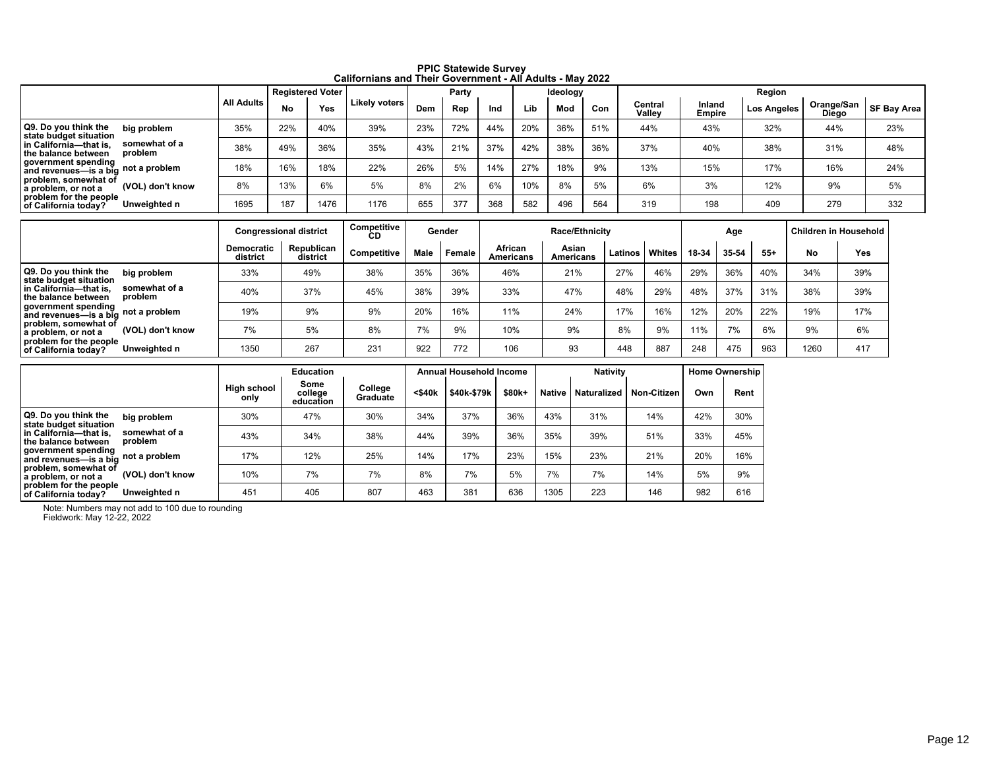|                                                            |                          |                   |     | Registered Voter |                      |     | Party |     |     | Ideology |     |                   |                         | Region      |                     |                    |
|------------------------------------------------------------|--------------------------|-------------------|-----|------------------|----------------------|-----|-------|-----|-----|----------|-----|-------------------|-------------------------|-------------|---------------------|--------------------|
|                                                            |                          | <b>All Adults</b> | No  | Yes              | <b>Likely voters</b> | Dem | Rep   | Ind | Lib | Mod      | Con | Central<br>Vallev | Inland<br><b>Empire</b> | Los Angeles | Orange/San<br>Diego | <b>SF Bay Area</b> |
| Q9. Do you think the<br>state budget situation             | big problem              | 35%               | 22% | 40%              | 39%                  | 23% | 72%   | 44% | 20% | 36%      | 51% | 44%               | 43%                     | 32%         | 44%                 | 23%                |
| in California-that is,<br>the balance between              | somewhat of a<br>problem | 38%               | 49% | 36%              | 35%                  | 43% | 21%   | 37% | 42% | 38%      | 36% | 37%               | 40%                     | 38%         | 31%                 | 48%                |
| government spending<br>and revenues-is a big not a problem |                          | 18%               | 16% | 18%              | 22%                  | 26% | 5%    | 14% | 27% | 18%      | 9%  | 13%               | 15%                     | 17%         | 16%                 | 24%                |
| problem, somewhat of<br>a problem, or not a                | (VOL) don't know         | 8%                | 13% | 6%               | 5%                   | 8%  | 2%    | 6%  | 10% | 8%       | 5%  | 6%                | 3%                      | 12%         | 9%                  | 5%                 |
| problem for the people<br>of California today?             | Unweighted n             | 1695              | 187 | 1476             | 1176                 | 655 | 377   | 368 | 582 | 496      | 564 | 319               | 198                     | 409         | 279                 | 332                |
|                                                            |                          |                   |     |                  |                      |     |       |     |     |          |     |                   |                         |             |                     |                    |

|                                                            |                          | <b>Congressional district</b> |                        | Competitive<br>CD |      | Gender |                      | <b>Race/Ethnicity</b>     |                  |     |       | Age   |       | Children in Household |     |
|------------------------------------------------------------|--------------------------|-------------------------------|------------------------|-------------------|------|--------|----------------------|---------------------------|------------------|-----|-------|-------|-------|-----------------------|-----|
|                                                            |                          | <b>Democratic</b><br>district | Republican<br>district | Competitive       | Male | Female | African<br>Americans | Asian<br><b>Americans</b> | Latinos   Whites |     | 18-34 | 35-54 | $55+$ | No                    | Yes |
| Q9. Do you think the<br>state budget situation             | big problem              | 33%                           | 49%                    | 38%               | 35%  | 36%    | 46%                  | 21%                       | 27%              | 46% | 29%   | 36%   | 40%   | 34%                   | 39% |
| in California-that is,<br>l the balance between            | somewhat of a<br>problem | 40%                           | 37%                    | 45%               | 38%  | 39%    | 33%                  | 47%                       | 48%              | 29% | 48%   | 37%   | 31%   | 38%                   | 39% |
| government spending<br>and revenues—is a big not a problem |                          | 19%                           | 9%                     | 9%                | 20%  | 16%    | 11%                  | 24%                       | 17%              | 16% | 12%   | 20%   | 22%   | 19%                   | 17% |
| problem, somewhat of<br>la problem, or not a               | (VOL) don't know         | 7%                            | 5%                     | 8%                | 7%   | 9%     | 10%                  | 9%                        | 8%               | 9%  | 11%   | 7%    | 6%    | 9%                    | 6%  |
| problem for the people<br>of California today?             | Unweighted n             | 1350                          | 267                    | 231               | 922  | 772    | 106                  | 93                        | 448              | 887 | 248   | 475   | 963   | 1260                  | 417 |

|                                                |                          |                     | <b>Education</b>             |                     |              | Annual Household Income |        |        | <b>Nativity</b> |             |     | <b>Home Ownership</b> |
|------------------------------------------------|--------------------------|---------------------|------------------------------|---------------------|--------------|-------------------------|--------|--------|-----------------|-------------|-----|-----------------------|
|                                                |                          | High school<br>only | Some<br>college<br>education | College<br>Graduate | $<$ \$40 $k$ | \$40k-\$79k             | \$80k+ | Native | Naturalized     | Non-Citizen | Own | Rent                  |
| Q9. Do you think the<br>state budget situation | big problem              | 30%                 | 47%                          | 30%                 | 34%          | 37%                     | 36%    | 43%    | 31%             | 14%         | 42% | 30%                   |
| in California-that is.<br>the balance between  | somewhat of a<br>problem | 43%                 | 34%                          | 38%                 | 44%          | 39%                     | 36%    | 35%    | 39%             | 51%         | 33% | 45%                   |
| government spending<br>and revenues-is a big   | not a problem            | 17%                 | 12%                          | 25%                 | 14%          | 17%                     | 23%    | 15%    | 23%             | 21%         | 20% | 16%                   |
| problem, somewhat of<br>l a problem, or not a  | (VOL) don't know         | 10%                 | 7%                           | 7%                  | 8%           | 7%                      | 5%     | 7%     | 7%              | 14%         | 5%  | 9%                    |
| problem for the people<br>of California todav? | Unweighted n             | 451                 | 405                          | 807                 | 463          | 381                     | 636    | 1305   | 223             | 146         | 982 | 616                   |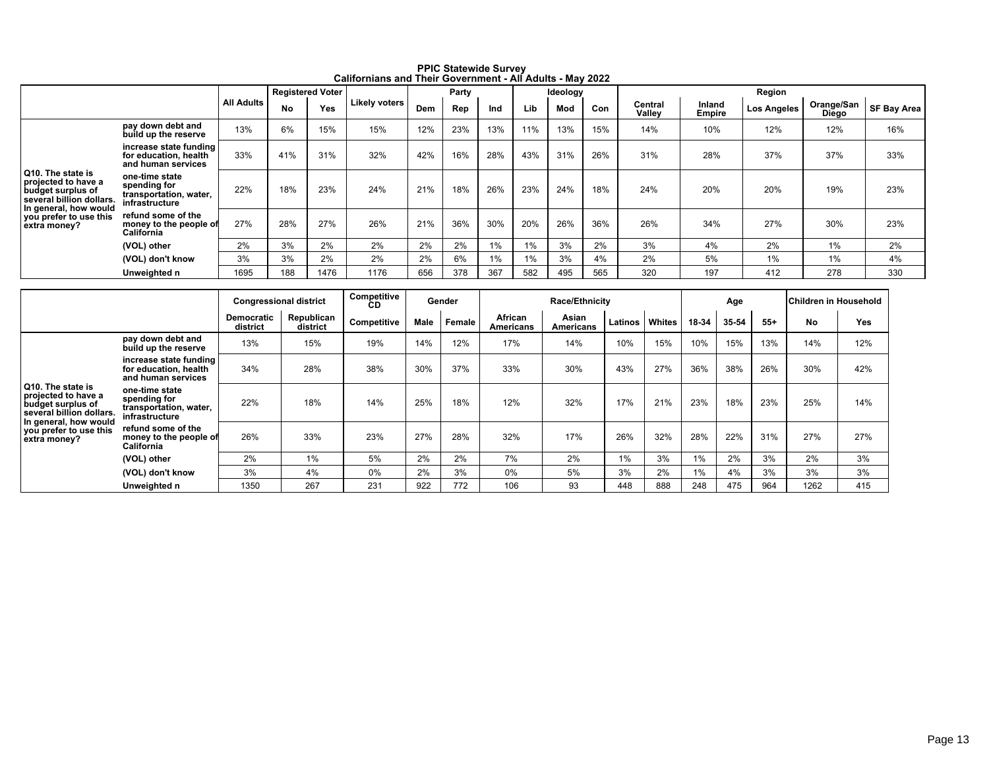|                                                                                                                    |                                                                            |                   |                         |            |                      |     |       |       |     | <u> Janivinano ana indi Sotoninioni Iantaano</u> |     |                   |                         |             |                     |             |
|--------------------------------------------------------------------------------------------------------------------|----------------------------------------------------------------------------|-------------------|-------------------------|------------|----------------------|-----|-------|-------|-----|--------------------------------------------------|-----|-------------------|-------------------------|-------------|---------------------|-------------|
|                                                                                                                    |                                                                            |                   | <b>Registered Voter</b> |            |                      |     | Party |       |     | Ideology                                         |     |                   |                         | Region      |                     |             |
|                                                                                                                    |                                                                            | <b>All Adults</b> | <b>No</b>               | <b>Yes</b> | <b>Likely voters</b> | Dem | Rep   | Ind   | Lib | Mod                                              | Con | Central<br>Vallev | Inland<br><b>Empire</b> | Los Angeles | Orange/San<br>Diego | SF Bay Area |
|                                                                                                                    | pay down debt and<br>build up the reserve                                  | 13%               | 6%                      | 15%        | 15%                  | 12% | 23%   | 13%   | 11% | 13%                                              | 15% | 14%               | 10%                     | 12%         | 12%                 | 16%         |
|                                                                                                                    | increase state funding<br>for education, health<br>and human services      | 33%               | 41%                     | 31%        | 32%                  | 42% | 16%   | 28%   | 43% | 31%                                              | 26% | 31%               | 28%                     | 37%         | 37%                 | 33%         |
| Q10. The state is<br>projected to have a<br>budget surplus of<br>several billion dollars.<br>In general, how would | one-time state<br>spending for<br>transportation, water,<br>infrastructure | 22%               | 18%                     | 23%        | 24%                  | 21% | 18%   | 26%   | 23% | 24%                                              | 18% | 24%               | 20%                     | 20%         | 19%                 | 23%         |
| you prefer to use this<br>extra money?                                                                             | refund some of the<br>money to the people of<br>California                 | 27%               | 28%                     | 27%        | 26%                  | 21% | 36%   | 30%   | 20% | 26%                                              | 36% | 26%               | 34%                     | 27%         | 30%                 | 23%         |
|                                                                                                                    | (VOL) other                                                                | 2%                | 3%                      | 2%         | 2%                   | 2%  | 2%    | 1%    | 1%  | 3%                                               | 2%  | 3%                | 4%                      | 2%          | 1%                  | 2%          |
|                                                                                                                    | (VOL) don't know                                                           | 3%                | 3%                      | 2%         | 2%                   | 2%  | 6%    | $1\%$ | 1%  | 3%                                               | 4%  | 2%                | 5%                      | $1\%$       | 1%                  | 4%          |
|                                                                                                                    | Unweighted n                                                               | 1695              | 188                     | 1476       | 1176                 | 656 | 378   | 367   | 582 | 495                                              | 565 | 320               | 197                     | 412         | 278                 | 330         |

|                                                                                                                      |                                                                            | <b>Congressional district</b> |                        | Competitive<br>CD |      | Gender |                             | Race/Ethnicity            |         |        |       | Age   |       | Children in Household |     |
|----------------------------------------------------------------------------------------------------------------------|----------------------------------------------------------------------------|-------------------------------|------------------------|-------------------|------|--------|-----------------------------|---------------------------|---------|--------|-------|-------|-------|-----------------------|-----|
|                                                                                                                      |                                                                            | <b>Democratic</b><br>district | Republican<br>district | Competitive       | Male | Female | African<br><b>Americans</b> | Asian<br><b>Americans</b> | Latinos | Whites | 18-34 | 35-54 | $55+$ | No                    | Yes |
|                                                                                                                      | pay down debt and<br>build up the reserve                                  | 13%                           | 15%                    | 19%               | 14%  | 12%    | 17%                         | 14%                       | 10%     | 15%    | 10%   | 15%   | 13%   | 14%                   | 12% |
|                                                                                                                      | increase state funding<br>for education, health<br>and human services      | 34%                           | 28%                    | 38%               | 30%  | 37%    | 33%                         | 30%                       | 43%     | 27%    | 36%   | 38%   | 26%   | 30%                   | 42% |
| Q10. The state is<br>l proiected to have a<br>budget surplus of<br>several billion dollars.<br>In general, how would | one-time state<br>spending for<br>transportation, water,<br>infrastructure | 22%                           | 18%                    | 14%               | 25%  | 18%    | 12%                         | 32%                       | 17%     | 21%    | 23%   | 18%   | 23%   | 25%                   | 14% |
| vou prefer to use this<br>extra money?                                                                               | refund some of the<br>money to the people of<br>California                 | 26%                           | 33%                    | 23%               | 27%  | 28%    | 32%                         | 17%                       | 26%     | 32%    | 28%   | 22%   | 31%   | 27%                   | 27% |
|                                                                                                                      | (VOL) other                                                                | 2%                            | 1%                     | 5%                | 2%   | 2%     | 7%                          | 2%                        | 1%      | 3%     | 1%    | 2%    | 3%    | 2%                    | 3%  |
|                                                                                                                      | (VOL) don't know                                                           | 3%                            | 4%                     | 0%                | 2%   | 3%     | 0%                          | 5%                        | 3%      | 2%     | 1%    | 4%    | 3%    | 3%                    | 3%  |
|                                                                                                                      | Unweighted n                                                               | 1350                          | 267                    | 231               | 922  | 772    | 106                         | 93                        | 448     | 888    | 248   | 475   | 964   | 1262                  | 415 |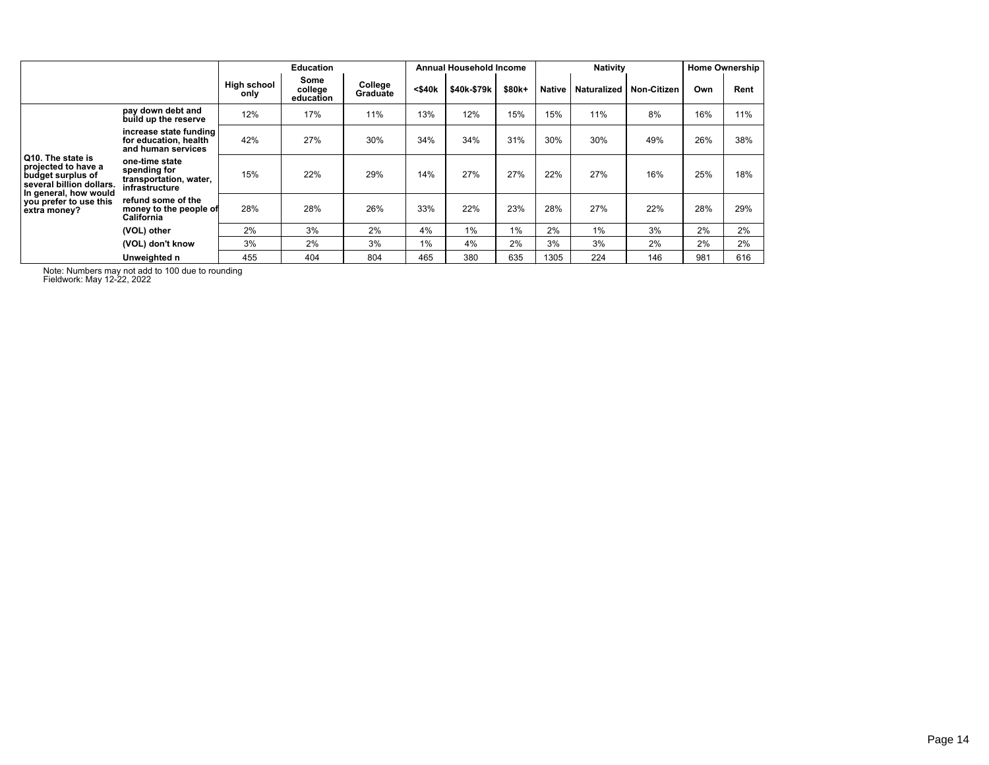|                                                                                                                    |                                                                            |                     | <b>Education</b>             |                     |        | <b>Annual Household Income</b> |        |        | <b>Nativity</b> |             |     | <b>Home Ownership</b> |
|--------------------------------------------------------------------------------------------------------------------|----------------------------------------------------------------------------|---------------------|------------------------------|---------------------|--------|--------------------------------|--------|--------|-----------------|-------------|-----|-----------------------|
|                                                                                                                    |                                                                            | High school<br>only | Some<br>college<br>education | College<br>Graduate | <\$40k | \$40k-\$79k                    | \$80k+ | Native | Naturalized     | Non-Citizen | Own | Rent                  |
|                                                                                                                    | pay down debt and<br>build up the reserve                                  | 12%                 | 17%                          | 11%                 | 13%    | 12%                            | 15%    | 15%    | 11%             | 8%          | 16% | 11%                   |
|                                                                                                                    | increase state funding<br>for education, health<br>and human services      | 42%                 | 27%                          | 30%                 | 34%    | 34%                            | 31%    | 30%    | 30%             | 49%         | 26% | 38%                   |
| Q10. The state is<br>projected to have a<br>budget surplus of<br>several billion dollars.<br>In general, how would | one-time state<br>spending for<br>transportation, water,<br>infrastructure | 15%                 | 22%                          | 29%                 | 14%    | 27%                            | 27%    | 22%    | 27%             | 16%         | 25% | 18%                   |
| you prefer to use this<br>extra money?                                                                             | refund some of the<br>money to the people of<br>California                 | 28%                 | 28%                          | 26%                 | 33%    | 22%                            | 23%    | 28%    | 27%             | 22%         | 28% | 29%                   |
|                                                                                                                    | (VOL) other                                                                | 2%                  | 3%                           | 2%                  | 4%     | 1%                             | 1%     | 2%     | 1%              | 3%          | 2%  | 2%                    |
|                                                                                                                    | (VOL) don't know                                                           | 3%                  | 2%                           | 3%                  | 1%     | 4%                             | 2%     | 3%     | 3%              | 2%          | 2%  | 2%                    |
|                                                                                                                    | Unweighted n                                                               | 455                 | 404                          | 804                 | 465    | 380                            | 635    | 1305   | 224             | 146         | 981 | 616                   |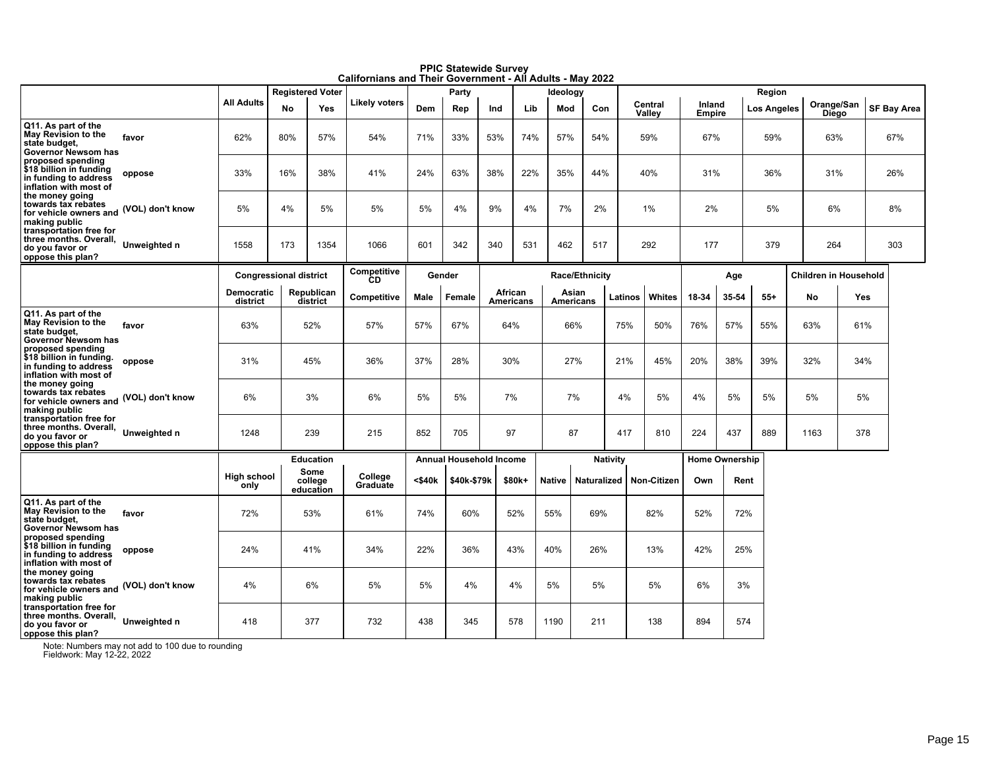|                                                                                                        |                  |                               |           | <b>Registered Voter</b>      |                      |              | Party                          |     |                             | Ideology      |                           |         |                    |                         |       | Region             |      |                       |                    |
|--------------------------------------------------------------------------------------------------------|------------------|-------------------------------|-----------|------------------------------|----------------------|--------------|--------------------------------|-----|-----------------------------|---------------|---------------------------|---------|--------------------|-------------------------|-------|--------------------|------|-----------------------|--------------------|
|                                                                                                        |                  | <b>All Adults</b>             | <b>No</b> | <b>Yes</b>                   | <b>Likely voters</b> | Dem          | Rep                            | Ind | Lib                         | Mod           | Con                       |         | Central<br>Vallev  | Inland<br><b>Empire</b> |       | <b>Los Angeles</b> |      | Orange/San<br>Diego   | <b>SF Bay Area</b> |
| Q11. As part of the<br>May Revision to the<br>state budget,<br>Governor Newsom has                     | favor            | 62%                           | 80%       | 57%                          | 54%                  | 71%          | 33%                            | 53% | 74%                         | 57%           | 54%                       |         | 59%                | 67%                     |       | 59%                |      | 63%                   | 67%                |
| proposed spending<br>\$18 billion in funding<br>in funding to address<br>inflation with most of        | oppose           | 33%                           | 16%       | 38%                          | 41%                  | 24%          | 63%                            | 38% | 22%                         | 35%           | 44%                       |         | 40%                | 31%                     |       | 36%                |      | 31%                   | 26%                |
| the money going<br>towards tax rebates<br>for vehicle owners and (VOL) don't know<br>making public     |                  | 5%                            | 4%        | 5%                           | 5%                   | 5%           | 4%                             | 9%  | 4%                          | 7%            | 2%                        |         | $1\%$              | 2%                      |       | 5%                 |      | 6%                    | 8%                 |
| transportation free for<br>three months. Overall, Unweighted n<br>do you favor or<br>oppose this plan? |                  | 1558                          | 173       | 1354                         | 1066                 | 601          | 342                            | 340 | 531                         | 462           | 517                       |         | 292                | 177                     |       | 379                |      | 264                   | 303                |
|                                                                                                        |                  | <b>Congressional district</b> |           |                              | Competitive<br>ĊD    |              | Gender                         |     |                             |               | Race/Ethnicity            |         |                    |                         | Age   |                    |      | Children in Household |                    |
|                                                                                                        |                  | <b>Democratic</b><br>district |           | Republican<br>district       | Competitive          | Male         | Female                         |     | African<br><b>Americans</b> |               | Asian<br><b>Americans</b> | Latinos | <b>Whites</b>      | 18-34                   | 35-54 | $55+$              | No   |                       | Yes                |
| Q11. As part of the<br>May Revision to the<br>state budget,<br>Governor Newsom has                     | favor            | 63%                           |           | 52%                          | 57%                  | 57%          | 67%                            |     | 64%                         |               | 66%                       | 75%     | 50%                | 76%                     | 57%   | 55%                | 63%  |                       | 61%                |
| proposed spending<br>\$18 billion in funding.<br>in funding to address<br>inflation with most of       | oppose           | 31%                           |           | 45%                          | 36%                  | 37%          | 28%                            |     | 30%                         |               | 27%                       | 21%     | 45%                | 20%                     | 38%   | 39%                | 32%  |                       | 34%                |
| the money going<br>towards tax rebates<br>for vehicle owners and (VOL) don't know<br>making public     |                  | 6%                            |           | 3%                           | 6%                   | 5%           | 5%                             |     | 7%                          |               | 7%                        | 4%      | 5%                 | 4%                      | 5%    | 5%                 | 5%   |                       | 5%                 |
| transportation free for<br>three months. Overall,<br>do you favor or<br>oppose this plan?              | Unweighted n     | 1248                          |           | 239                          | 215                  | 852          | 705                            |     | 97                          |               | 87                        | 417     | 810                | 224                     | 437   | 889                | 1163 |                       | 378                |
|                                                                                                        |                  |                               |           | <b>Education</b>             |                      |              | <b>Annual Household Income</b> |     |                             |               | <b>Nativity</b>           |         |                    | <b>Home Ownership</b>   |       |                    |      |                       |                    |
|                                                                                                        |                  | <b>High school</b><br>only    |           | Some<br>college<br>education | College<br>Graduate  | $<$ \$40 $k$ | \$40k-\$79k                    |     | \$80k+                      | <b>Native</b> | Naturalized               |         | <b>Non-Citizen</b> | Own                     | Rent  |                    |      |                       |                    |
| Q11. As part of the<br>May Revision to the<br>state budget,<br>Governor Newsom has                     | favor            | 72%                           |           | 53%                          | 61%                  | 74%          | 60%                            |     | 52%                         | 55%           | 69%                       |         | 82%                | 52%                     | 72%   |                    |      |                       |                    |
| proposed spending<br>\$18 billion in funding<br>in funding to address<br>inflation with most of        | oppose           | 24%                           |           | 41%                          | 34%                  | 22%          | 36%                            |     | 43%                         | 40%           | 26%                       |         | 13%                | 42%                     | 25%   |                    |      |                       |                    |
| the money going<br>towards tax rebates<br>for vehicle owners and<br>making public                      | (VOL) don't know | 4%                            |           | 6%                           | 5%                   | 5%           | 4%                             |     | 4%                          | 5%            | 5%                        |         | 5%                 | 6%                      | 3%    |                    |      |                       |                    |
| transportation free for<br>three months. Overall,<br>do you favor or<br>oppose this plan?              | Unweighted n     | 418                           |           | 377                          | 732                  | 438          | 345                            |     | 578                         | 1190          | 211                       |         | 138                | 894                     | 574   |                    |      |                       |                    |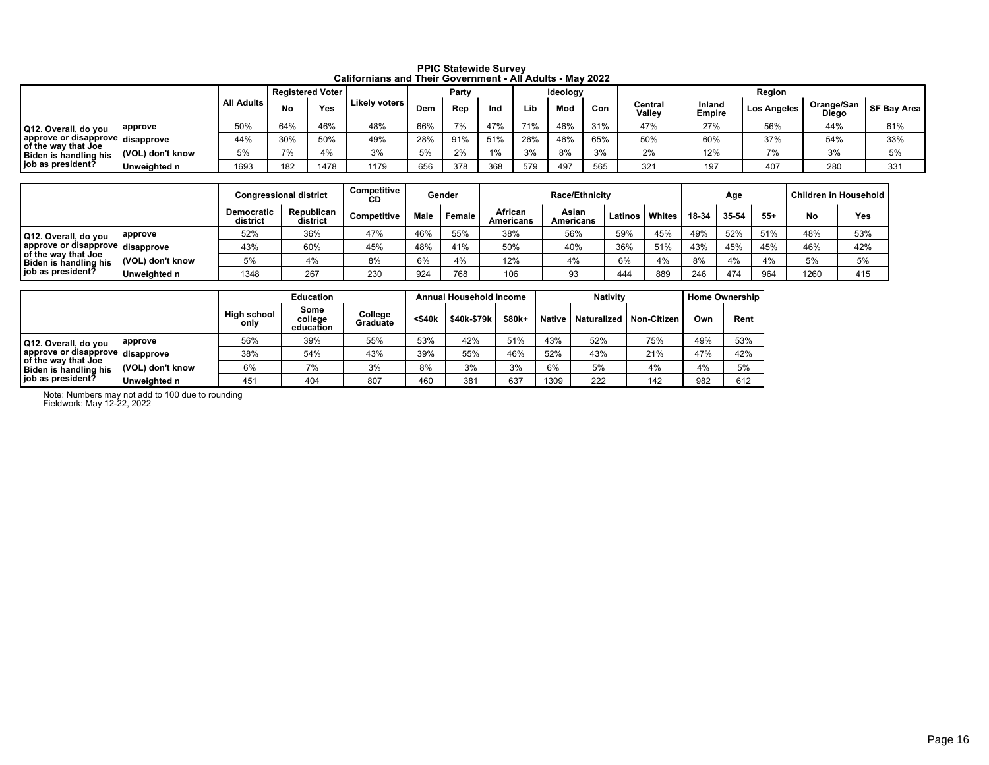|                                   |                   |     |            |               |                         | Party |     |     |     |     |                   |                         | Region      |                     |             |
|-----------------------------------|-------------------|-----|------------|---------------|-------------------------|-------|-----|-----|-----|-----|-------------------|-------------------------|-------------|---------------------|-------------|
| approve<br>Q12. Overall, do you   | <b>All Adults</b> | No  | <b>Yes</b> | Likely voters | Dem                     | Rep   | Ind | Lib | Mod | Con | Central<br>Vallev | Inland<br><b>Empire</b> | Los Angeles | Orange/San<br>Diego | SF Bay Area |
|                                   | 50%               | 64% | 46%        | 48%           | 66%                     | 7%    | 47% | 71% | 46% | 31% | 47%               | 27%                     | 56%         | 44%                 | 61%         |
| approve or disapprove disapprove, | 44%               | 30% | 50%        | 49%           | 28%                     | 91%   | 51% | 26% | 46% | 65% | 50%               | 60%                     | 37%         | 54%                 | 33%         |
| (VOL) don't know                  | 5%                | 7%  | 4%         | 3%            | 5%                      | 2%    | 1%  | 3%  | 8%  | 3%  | 2%                | 12%                     | 7%          | 3%                  | 5%          |
| Unweighted n                      | 1693              | 182 | 1478       | 1179          | 656                     | 378   | 368 | 579 | 497 | 565 | 321               | 197                     | 407         | 280                 | 331         |
|                                   |                   |     |            |               | <b>Registered Voter</b> |       |     |     |     |     | Ideology          |                         |             |                     |             |

|                                                                                                                               |                  | <b>Congressional district</b> |                        | Competitive<br>CD  |      | Gender |                      | Race/Ethnicity     |         |          |       | Age   |       | Children in Household |            |
|-------------------------------------------------------------------------------------------------------------------------------|------------------|-------------------------------|------------------------|--------------------|------|--------|----------------------|--------------------|---------|----------|-------|-------|-------|-----------------------|------------|
|                                                                                                                               |                  | <b>Democratic</b><br>district | Republican<br>district | <b>Competitive</b> | Male | Female | African<br>Americans | Asian<br>Americans | Latinos | l Whites | 18-34 | 35-54 | $55+$ | No                    | <b>Yes</b> |
| Q12. Overall, do you<br>approve or disapprove disapprove<br>of the way that Joe<br>Biden is handling his<br>job as president? | approve          | 52%                           | 36%                    | 47%                | 46%  | 55%    | 38%                  | 56%                | 59%     | 45%      | 49%   | 52%   | 51%   | 48%                   | 53%        |
|                                                                                                                               |                  | 43%                           | 60%                    | 45%                | 48%  | 41%    | 50%                  | 40%                | 36%     | 51%      | 43%   | 45%   | 45%   | 46%                   | 42%        |
|                                                                                                                               | (VOL) don't know | 5%                            | 4%                     | 8%                 | 6%   | 4%     | 12%                  | 4%                 | 6%      | 4%       | 8%    | 4%    | 4%    | 5%                    | 5%         |
|                                                                                                                               | Unweighted n     | 1348                          | 267                    | 230                | 924  | 768    | 106                  | 93                 | 444     | 889      | 246   | 474   | 964   | 1260                  | 415        |

|                                                |                  |                     | <b>Education</b>             |                     |        | Annual Household Income |        |          | <b>Nativity</b>           |     |     | <b>Home Ownership</b> |
|------------------------------------------------|------------------|---------------------|------------------------------|---------------------|--------|-------------------------|--------|----------|---------------------------|-----|-----|-----------------------|
|                                                |                  | High school<br>only | Some<br>college<br>education | College<br>Graduate | <\$40k | \$40k-\$79k             | \$80k+ | Native I | Naturalized   Non-Citizen |     | Own | Rent                  |
| Q12. Overall, do you                           | approve          | 56%                 | 39%                          | 55%                 | 53%    | 42%                     | 51%    | 43%      | 52%                       | 75% | 49% | 53%                   |
| approve or disapprove disapprove               |                  | 38%                 | 54%                          | 43%                 | 39%    | 55%                     | 46%    | 52%      | 43%                       | 21% | 47% | 42%                   |
| of the wav that Joe<br>l Biden is handling his | (VOL) don't know | 6%                  | 7%                           | 3%                  | 8%     | 3%                      | 3%     | 6%       | 5%                        | 4%  | 4%  | 5%                    |
| job as president?                              | Unweighted n     | 451                 | 404                          | 807                 | 460    | 381                     | 637    | 1309     | 222                       | 142 | 982 | 612                   |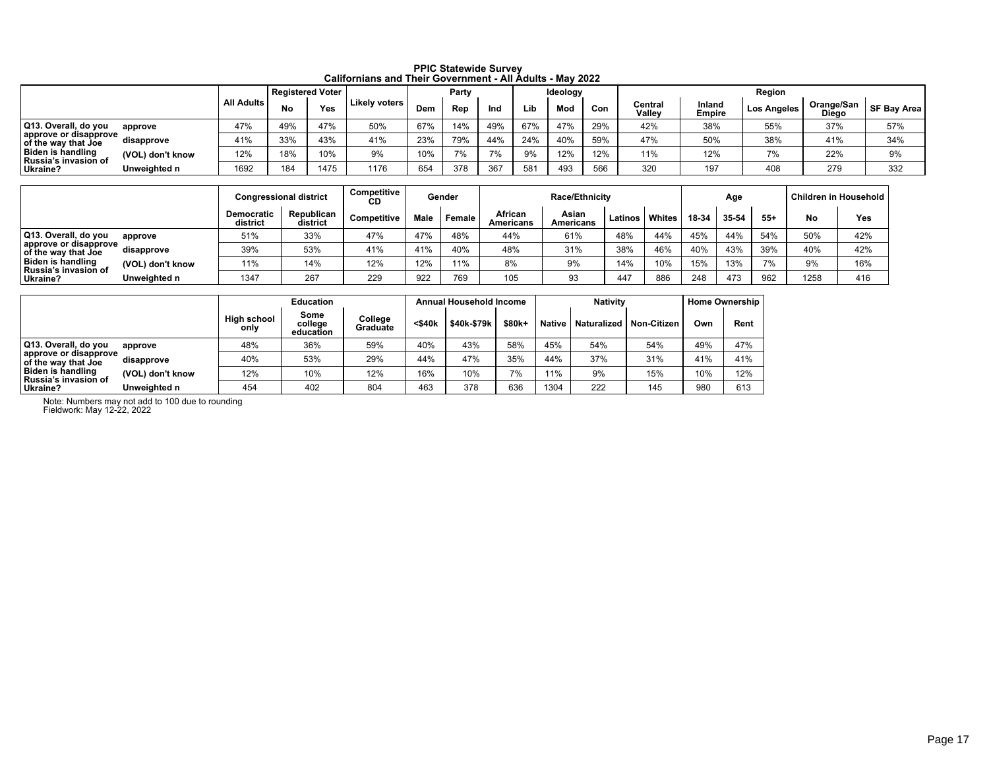|                                                    |                  |                   |           | <b>Registered Voter</b> |               |     | Party |     |     | Ideology |     |                   |                         | Region      |                     |                    |
|----------------------------------------------------|------------------|-------------------|-----------|-------------------------|---------------|-----|-------|-----|-----|----------|-----|-------------------|-------------------------|-------------|---------------------|--------------------|
|                                                    |                  | <b>All Adults</b> | <b>No</b> | <b>Yes</b>              | Likely voters | Dem | Rep   | Ind | Lib | Mod      | Con | Central<br>Valley | Inland<br><b>Empire</b> | Los Angeles | Orange/San<br>Diego | <b>SF Bay Area</b> |
| Q13. Overall, do you                               | approve          | 47%               | 49%       | 47%                     | 50%           | 67% | 14%   | 49% | 67% | 47%      | 29% | 42%               | 38%                     | 55%         | 37%                 | 57%                |
| approve or disapprove<br>of the way that Joe       | disapprove       | 41%               | 33%       | 43%                     | 41%           | 23% | 79%   | 44% | 24% | 40%      | 59% | 47%               | 50%                     | 38%         | 41%                 | 34%                |
| <b>Biden is handling</b><br>l Russia's invasion of | (VOL) don't know | 12%               | 18%       | 10%                     | 9%            | 10% | 7%    | 7%  | 9%  | 12%      | 12% | 11%               | 12%                     | 7%          | 22%                 | 9%                 |
| Ukraine?                                           | Unweighted n     | 1692              | 184       | 1475                    | 1176          | 654 | 378   | 367 | 581 | 493      | 566 | 320               | 197                     | 408         | 279                 | 332                |

|                                                  |                  |                               | <b>Congressional district</b> | Competitive<br>CD |      | Gender |                             | Race/Ethnicity     |                  |     |       | Age   |       | Children in Household |     |
|--------------------------------------------------|------------------|-------------------------------|-------------------------------|-------------------|------|--------|-----------------------------|--------------------|------------------|-----|-------|-------|-------|-----------------------|-----|
|                                                  |                  | <b>Democratic</b><br>district | Republican<br>district        | Competitive       | Male | Female | African<br><b>Americans</b> | Asian<br>Americans | Latinos   Whites |     | 18-34 | 35-54 | $55+$ | <b>No</b>             | Yes |
| Q13. Overall, do you                             | approve          | 51%                           | 33%                           | 47%               | 47%  | 48%    | 44%                         | 61%                | 48%              | 44% | 45%   | 44%   | 54%   | 50%                   | 42% |
| approve or disapprove<br>of the way that Joe     | disapprove       | 39%                           | 53%                           | 41%               | 41%  | 40%    | 48%                         | 31%                | 38%              | 46% | 40%   | 43%   | 39%   | 40%                   | 42% |
| <b>Biden is handling</b><br>Russia's invasion of | (VOL) don't know | 11%                           | 14%                           | 12%               | 12%  | 11%    | 8%                          | 9%                 | 14%              | 10% | 15%   | 13%   | 7%    | 9%                    | 16% |
| Ukraine?                                         | Unweighted n     | 1347                          | 267                           | 229               | 922  | 769    | 105                         | 93                 | 447              | 886 | 248   | 473   | 962   | 1258                  | 416 |

|                                                         |                                     |                     | <b>Education</b>             |                     |        | Annual Household Income |        |               | <b>Nativity</b> |                           |     | <b>Home Ownership</b> |
|---------------------------------------------------------|-------------------------------------|---------------------|------------------------------|---------------------|--------|-------------------------|--------|---------------|-----------------|---------------------------|-----|-----------------------|
|                                                         |                                     | High school<br>only | Some<br>college<br>education | College<br>Graduate | <\$40k | \$40k-\$79k             | \$80k+ | <b>Native</b> |                 | Naturalized   Non-Citizen | Own | Rent                  |
| Q13. Overall, do you                                    | approve                             | 48%                 | 36%                          | 59%                 | 40%    | 43%                     | 58%    | 45%           | 54%             | 54%                       | 49% | 47%                   |
| of the way that Joe                                     | approve or disapprove<br>disapprove |                     | 53%                          | 29%                 | 44%    | 47%                     | 35%    | 44%           | 37%             | 31%                       | 41% | 41%                   |
| <b>Biden is handling</b><br><b>Russia's invasion of</b> | (VOL) don't know                    | 12%                 | 10%                          | 12%                 | 16%    | 10%                     | 7%     | 11%           | 9%              | 15%                       | 10% | 12%                   |
| Ukraine?                                                | Unweighted n                        | 454                 | 402                          | 804                 | 463    | 378                     | 636    | 1304          | 222             | 145                       | 980 | 613                   |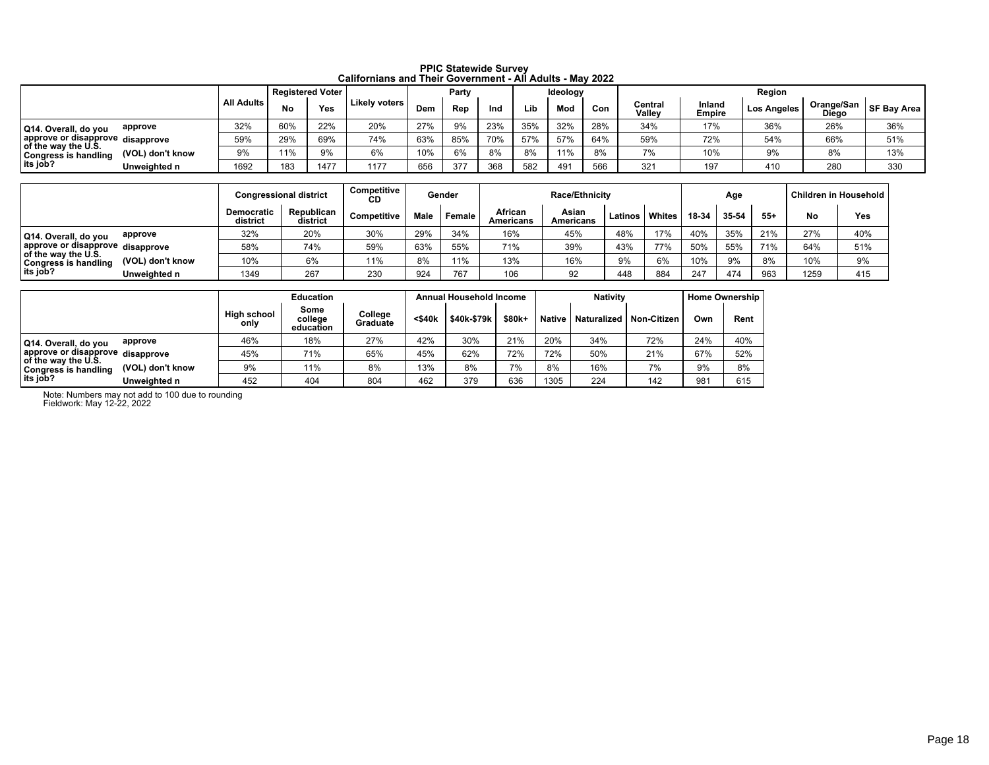|                                             |                  |                   | <b>Registered Voter</b> |            |               |     | Party |     |     | Ideology |     |                   |                         | Region      |                                   |     |
|---------------------------------------------|------------------|-------------------|-------------------------|------------|---------------|-----|-------|-----|-----|----------|-----|-------------------|-------------------------|-------------|-----------------------------------|-----|
|                                             | approve          | <b>All Adults</b> | No                      | <b>Yes</b> | Likely voters | Dem | Rep   | Ind | Lib | Mod      | Con | Central<br>Valley | Inland<br><b>Empire</b> | Los Angeles | Orange/San   SF Bay Are?<br>Diego |     |
| Q14. Overall, do you                        |                  | 32%               | 60%                     | 22%        | 20%           | 27% | 9%    | 23% | 35% | 32%      | 28% | 34%               | 17%                     | 36%         | 26%                               | 36% |
| approve or disapprove disapprove            |                  | 59%               | 29%                     | 69%        | 74%           | 63% | 85%   | 70% | 57% | 57%      | 64% | 59%               | 72%                     | 54%         | 66%                               | 51% |
| of the way the U.S.<br>Congress is handling | (VOL) don't know | 9%                | 11%                     | 9%         | 6%            | 10% | 6%    | 8%  | 8%  | 11%      | 8%  | 7%                | 10%                     | 9%          | 8%                                | 13% |
| its job?                                    | Unweighted n     | 1692              | 183                     | 1477       | 1177          | 656 | 377   | 368 | 582 | 491      | 566 | 321               | 197                     | 410         | 280                               | 330 |

|                                                    |                  | <b>Congressional district</b> |                        | <b>Competitive</b><br>CD |      | Gender |                             | <b>Race/Ethnicity</b> |         |               |       | Age   |       |      | Children in Household |
|----------------------------------------------------|------------------|-------------------------------|------------------------|--------------------------|------|--------|-----------------------------|-----------------------|---------|---------------|-------|-------|-------|------|-----------------------|
|                                                    |                  | <b>Democratic</b><br>district | Republican<br>district | <b>Competitive</b>       | Male | Female | African<br><b>Americans</b> | Asian<br>Americans    | Latinos | <b>Whites</b> | 18-34 | 35-54 | $55+$ | No   | <b>Yes</b>            |
| Q14. Overall, do you                               | approve          | 32%                           | 20%                    | 30%                      | 29%  | 34%    | 16%                         | 45%                   | 48%     | 17%           | 40%   | 35%   | 21%   | 27%  | 40%                   |
| approve or disapprove disapprove                   |                  | 58%                           | 74%                    | 59%                      | 63%  | 55%    | 71%                         | 39%                   | 43%     | 77%           | 50%   | 55%   | 71%   | 64%  | 51%                   |
| of the way the U.S.<br><b>Congress is handling</b> | (VOL) don't know | 10%                           | 6%                     | 11%                      | 8%   | 11%    | 13%                         | 16%                   | 9%      | 6%            | 10%   | 9%    | 8%    | 10%  | 9%                    |
| its job?                                           | Unweighted n     | 1349                          | 267                    | 230                      | 924  | 767    | 106                         | 92                    | 448     | 884           | 247   | 474   | 963   | 1259 | 415                   |

|                                             |                  |                     | <b>Education</b>             |                     |        | Annual Household Income |        |        | <b>Nativity</b>             |     | Home Ownership |      |
|---------------------------------------------|------------------|---------------------|------------------------------|---------------------|--------|-------------------------|--------|--------|-----------------------------|-----|----------------|------|
|                                             |                  | High school<br>only | Some<br>college<br>education | College<br>Graduate | <\$40k | \$40k-\$79k             | \$80k+ | Native | ∣ Naturalized ∣ Non-Citizen |     | Own            | Rent |
| Q11. Overall, do you                        | approve          | 46%                 | 18%                          | 27%                 | 42%    | 30%                     | 21%    | 20%    | 34%                         | 72% | 24%            | 40%  |
| approve or disapprove disapprove            |                  | 45%                 | 71%                          | 65%                 | 45%    | 62%                     | 72%    | 72%    | 50%                         | 21% | 67%            | 52%  |
| of the way the U.S.<br>Congress is handling | (VOL) don't know | 9%                  | 11%                          | 8%                  | 13%    | 8%                      | 7%     | 8%     | 16%                         | 7%  | 9%             | 8%   |
| lits job?                                   | Unweighted n     | 452                 | 404                          | 804                 | 462    | 379                     | 636    | 1305   | 224                         | 142 | 981            | 615  |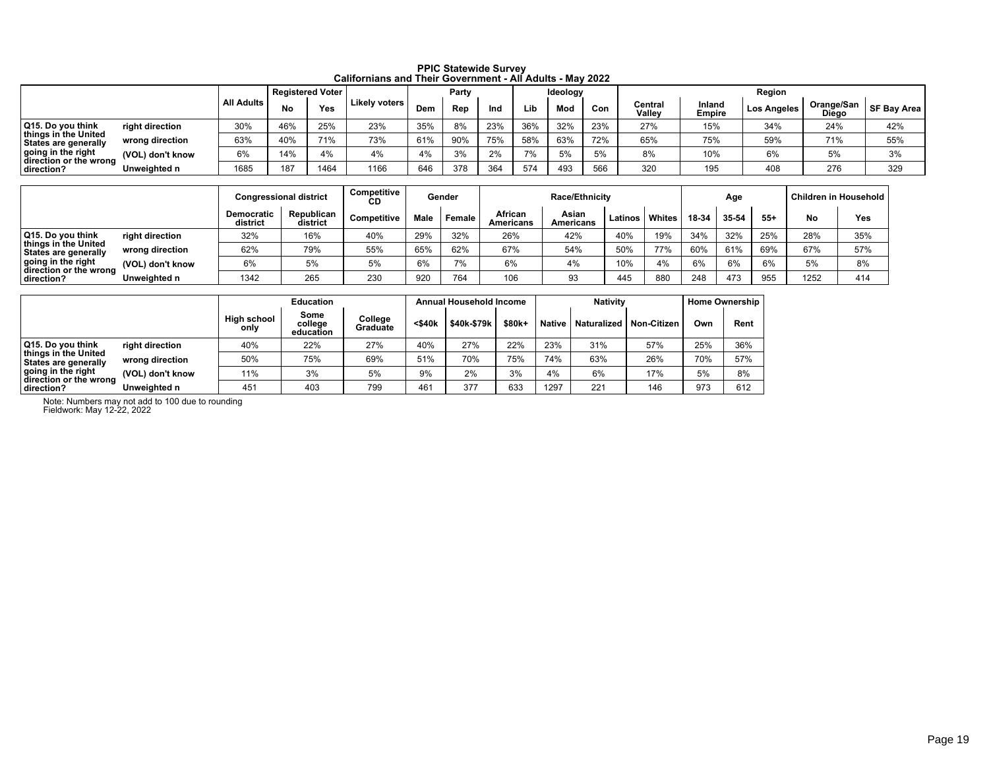|                                                     |                  |                   | <b>Registered Voter</b> |      |               |     | Party |     |     | Ideology |     |                   |                         | Region      |                     |             |
|-----------------------------------------------------|------------------|-------------------|-------------------------|------|---------------|-----|-------|-----|-----|----------|-----|-------------------|-------------------------|-------------|---------------------|-------------|
|                                                     | right direction  | <b>All Adults</b> | No                      | Yes  | Likely voters | Dem | Rep   | Ind | Lib | Mod      | Con | Central<br>Valley | Inland<br><b>Empire</b> | Los Angeles | Orange/San<br>Diego | SF Bav Area |
| Q15. Do you think                                   |                  | 30%               | 46%                     | 25%  | 23%           | 35% | 8%    | 23% | 36% | 32%      | 23% | 27%               | 15%                     | 34%         | 24%                 | 42%         |
| things in the United<br><b>States are generally</b> | wrong direction  | 63%               | 40%                     | 71%  | 73%           | 61% | 90%   | 75% | 58% | 63%      | 72% | 65%               | 75%                     | 59%         | 71%                 | 55%         |
| going in the right<br>direction or the wrong        | (VOL) don't know | 6%                | 14%                     | 4%   | 4%            | 4%  | 3%    | 2%  | 7%  | 5%       | 5%  | 8%                | 10%                     | 6%          | 5%                  | 3%          |
| direction?                                          | Unweighted n     | 1685              | 187                     | 1464 | 1166          | 646 | 378   | 364 | 574 | 493      | 566 | 320               | 195                     | 408         | 276                 | 329         |

|                                                     |                  | <b>Congressional district</b> |                        | Competitive<br>CD  |      | Gender |                             | <b>Race/Ethnicity</b> |         |        |       | Age   |       | Children in Household |     |
|-----------------------------------------------------|------------------|-------------------------------|------------------------|--------------------|------|--------|-----------------------------|-----------------------|---------|--------|-------|-------|-------|-----------------------|-----|
|                                                     |                  | <b>Democratic</b><br>district | Republican<br>district | <b>Competitive</b> | Male | Female | African<br><b>Americans</b> | Asian<br>Americans    | Latinos | Whites | 18-34 | 35-54 | $55+$ | No                    | Yes |
| Q15. Do you think                                   | right direction  | 32%                           | 16%                    | 40%                | 29%  | 32%    | 26%                         | 42%                   | 40%     | 19%    | 34%   | 32%   | 25%   | 28%                   | 35% |
| things in the United<br><b>States are generally</b> | wrong direction  | 62%                           | 79%                    | 55%                | 65%  | 62%    | 67%                         | 54%                   | 50%     | 77%    | 60%   | 61%   | 69%   | 67%                   | 57% |
| going in the right<br>direction or the wrong        | (VOL) don't know | 6%                            | 5%                     | 5%                 | 6%   | 7%     | 6%                          | 4%                    | 10%     | 4%     | 6%    | 6%    | 6%    | 5%                    | 8%  |
| direction?                                          | Unweighted n     | 1342                          | 265                    | 230                | 920  | 764    | 106                         | 93                    | 445     | 880    | 248   | 473   | 955   | 1252                  | 414 |

|                                                |                  |                     | <b>Education</b>             |                     |        | Annual Household Income |        |        | <b>Nativity</b> |             | Home Ownership |      |
|------------------------------------------------|------------------|---------------------|------------------------------|---------------------|--------|-------------------------|--------|--------|-----------------|-------------|----------------|------|
|                                                |                  | High school<br>only | Some<br>college<br>education | College<br>Graduate | <\$40k | \$40k-\$79k             | \$80k+ | Native | Naturalized     | Non-Citizen | Own            | Rent |
| Q15. Do you think                              | right direction  | 40%                 | 22%                          | 27%                 | 40%    | 27%                     | 22%    | 23%    | 31%             | 57%         | 25%            | 36%  |
| things in the United<br>States are generally   | wrong direction  | 50%                 | 75%                          | 69%                 | 51%    | 70%                     | 75%    | 74%    | 63%             | 26%         | 70%            | 57%  |
| going in the right<br>  direction or the wrong | (VOL) don't know | 11%                 | 3%                           | 5%                  | 9%     | 2%                      | 3%     | 4%     | 6%              | 17%         | 5%             | 8%   |
| l direction?                                   | Unweighted n     | 451                 | 403                          | 799                 | 461    | 377                     | 633    | 1297   | 221             | 146         | 973            | 612  |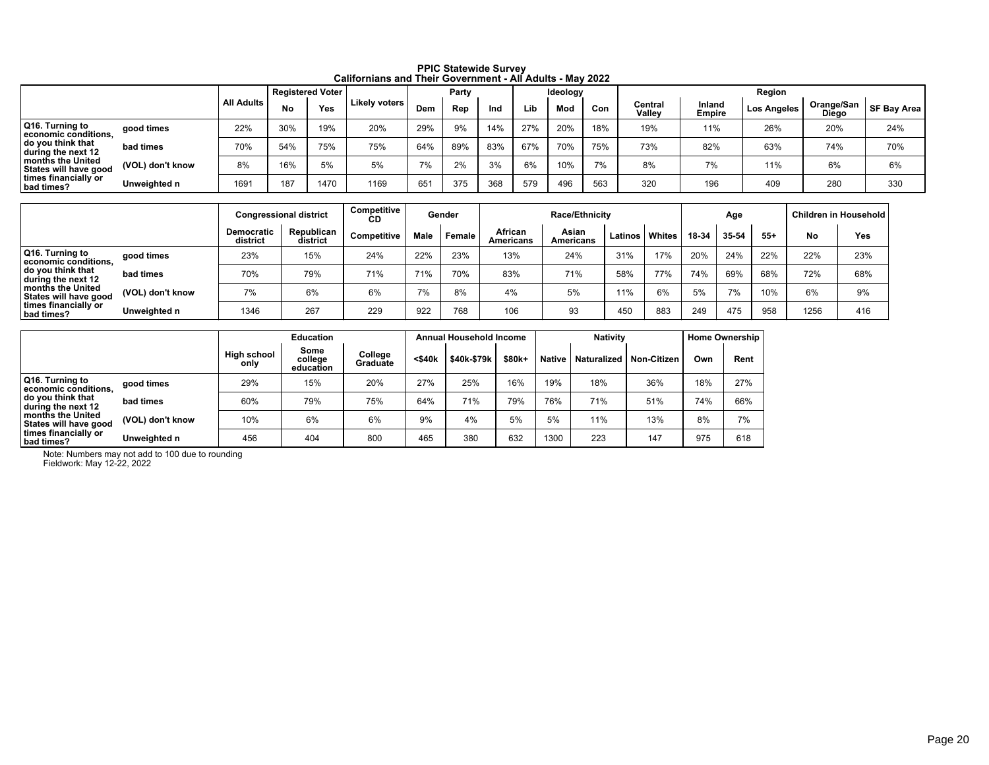|                                            |                  |                   | Registered Voter |      |               |     | Party |     |     | Ideology |            |                   |                         | Region      |                     |                 |
|--------------------------------------------|------------------|-------------------|------------------|------|---------------|-----|-------|-----|-----|----------|------------|-------------------|-------------------------|-------------|---------------------|-----------------|
|                                            |                  | <b>All Adults</b> | No               | Yes  | Likely voters | Dem | Rep   | Ind | Lib | Mod      | <b>Con</b> | Central<br>Vallev | Inland<br><b>Empire</b> | Los Angeles | Orange/San<br>Diego | ∣ SF Bay Area I |
| Q16. Turning to<br>economic conditions.    | good times       | 22%               | 30%              | 19%  | 20%           | 29% | 9%    | 14% | 27% | 20%      | 18%        | 19%               | 11%                     | 26%         | 20%                 | 24%             |
| do you think that<br>during the next 12    | bad times        | 70%               | 54%              | 75%  | 75%           | 64% | 89%   | 83% | 67% | 70%      | 75%        | 73%               | 82%                     | 63%         | 74%                 | 70%             |
| months the United<br>States will have good | (VOL) don't know | 8%                | 16%              | 5%   | 5%            | 7%  | 2%    | 3%  | 6%  | 10%      | 7%         | 8%                | 7%                      | 11%         | 6%                  | 6%              |
| times financially or<br>bad times?         | Unweighted n     | 1691              | 187              | 1470 | 1169          | 651 | 375   | 368 | 579 | 496      | 563        | 320               | 196                     | 409         | 280                 | 330             |

|                                            |                  | <b>Congressional district</b> |                        | Competitive<br>CD |      | Gender |                             | Race/Ethnicity     |         |        |       | Age   |       | Children in Household |     |
|--------------------------------------------|------------------|-------------------------------|------------------------|-------------------|------|--------|-----------------------------|--------------------|---------|--------|-------|-------|-------|-----------------------|-----|
|                                            |                  | <b>Democratic</b><br>district | Republican<br>district | Competitive       | Male | Female | African<br><b>Americans</b> | Asian<br>Americans | Latinos | Whites | 18-34 | 35-54 | $55+$ | No                    | Yes |
| Q16. Turning to<br>economic conditions.    | good times       | 23%                           | 15%                    | 24%               | 22%  | 23%    | 13%                         | 24%                | 31%     | 17%    | 20%   | 24%   | 22%   | 22%                   | 23% |
| do you think that<br>during the next 12    | bad times        | 70%                           | 79%                    | 71%               | 71%  | 70%    | 83%                         | 71%                | 58%     | 77%    | 74%   | 69%   | 68%   | 72%                   | 68% |
| months the United<br>States will have good | (VOL) don't know | 7%                            | 6%                     | 6%                | 7%   | 8%     | 4%                          | 5%                 | 11%     | 6%     | 5%    | 7%    | 10%   | 6%                    | 9%  |
| times financially or<br>bad times?         | Unweighted n     | 1346                          | 267                    | 229               | 922  | 768    | 106                         | 93                 | 450     | 883    | 249   | 475   | 958   | 1256                  | 416 |

|                                            |                  |                     | <b>Education</b>             |                     |              | Annual Household Income |        |        | <b>Nativity</b>           |     |     | <b>Home Ownership</b> |
|--------------------------------------------|------------------|---------------------|------------------------------|---------------------|--------------|-------------------------|--------|--------|---------------------------|-----|-----|-----------------------|
|                                            |                  | High school<br>only | Some<br>college<br>education | College<br>Graduate | $<$ \$40 $k$ | \$40k-\$79k             | \$80k+ | Native | Naturalized   Non-Citizen |     | Own | Rent                  |
| Q16. Turning to<br>economic conditions.    | good times       | 29%                 | 15%                          | 20%                 | 27%          | 25%                     | 16%    | 19%    | 18%                       | 36% | 18% | 27%                   |
| do you think that<br>during the next 12    | bad times        | 60%                 | 79%                          | 75%                 | 64%          | 71%                     | 79%    | 76%    | 71%                       | 51% | 74% | 66%                   |
| months the United<br>States will have good | (VOL) don't know | 10%                 | 6%                           | 6%                  | 9%           | 4%                      | 5%     | 5%     | 11%                       | 13% | 8%  | 7%                    |
| times financially or<br>bad times?         | Unweighted n     | 456                 | 404                          | 800                 | 465          | 380                     | 632    | 1300   | 223                       | 147 | 975 | 618                   |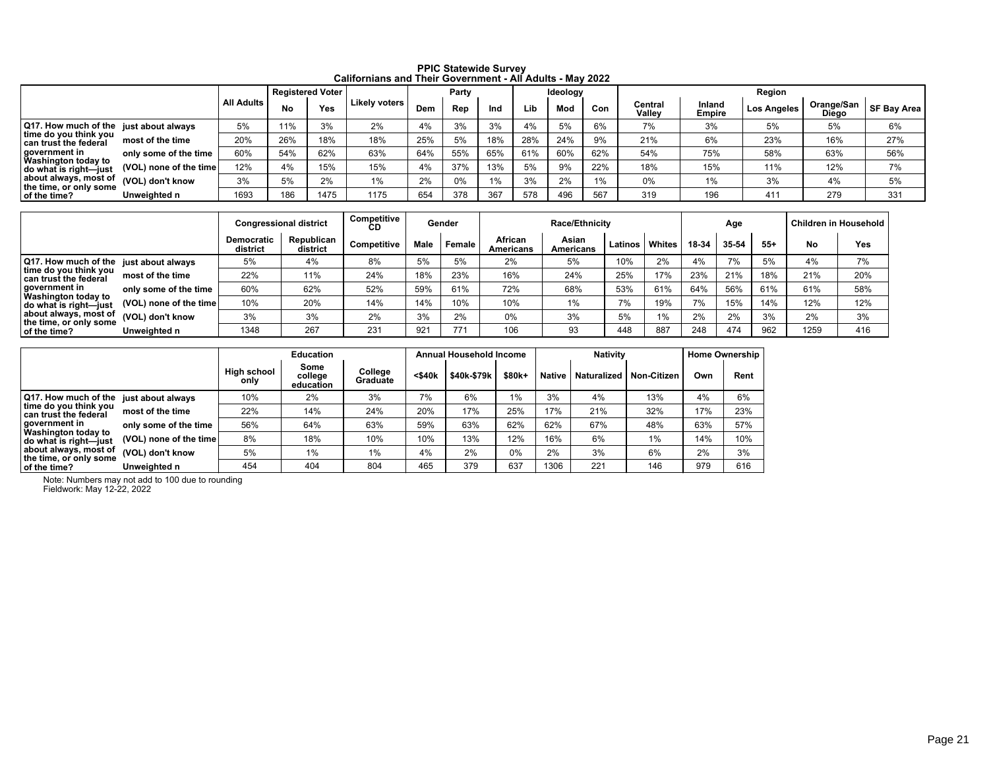|                                                  |                        |                   | <b>Registered Voter</b> |      |               |     | Party |     |     | Ideology |       |                   |                         | Region      |                     |                 |
|--------------------------------------------------|------------------------|-------------------|-------------------------|------|---------------|-----|-------|-----|-----|----------|-------|-------------------|-------------------------|-------------|---------------------|-----------------|
|                                                  |                        | <b>All Adults</b> | No                      | Yes  | Likely voters | Dem | Rep   | Ind | Lib | Mod      | Con   | Central<br>Valley | Inland<br><b>Empire</b> | Los Angeles | Orange/San<br>Diego | ∣ SF Bay Area I |
| Q17. How much of the just about always           |                        | 5%                | 11%                     | 3%   | 2%            | 4%  | 3%    | 3%  | 4%  | 5%       | 6%    | 7%                | 3%                      | 5%          | 5%                  | 6%              |
| ! time do vou think vou<br>can trust the federal | most of the time       | 20%               | 26%                     | 18%  | 18%           | 25% | 5%    | 18% | 28% | 24%      | 9%    | 21%               | 6%                      | 23%         | 16%                 | 27%             |
| ' government in                                  | only some of the time  | 60%               | 54%                     | 62%  | 63%           | 64% | 55%   | 65% | 61% | 60%      | 62%   | 54%               | 75%                     | 58%         | 63%                 | 56%             |
| Washington today to<br>do what is right—just     | (VOL) none of the time | 12%               | 4%                      | 15%  | 15%           | 4%  | 37%   | 13% | 5%  | 9%       | 22%   | 18%               | 15%                     | 11%         | 12%                 | 7%              |
| about always, most of<br>the time, or only some  | (VOL) don't know       | 3%                | 5%                      | 2%   | $1\%$         | 2%  | 0%    | 1%  | 3%  | 2%       | $1\%$ | 0%                | 1%                      | 3%          | 4%                  | 5%              |
| of the time?                                     | Unweighted n           | 1693              | 186                     | 1475 | 1175          | 654 | 378   | 367 | 578 | 496      | 567   | 319               | 196                     | 411         | 279                 | 331             |

|                                                 |                        |                               | <b>Congressional district</b> | Competitive<br>CD |      | Gender |                             | Race/Ethnicity     |           |               |       | Age   |       |      | Children in Household |
|-------------------------------------------------|------------------------|-------------------------------|-------------------------------|-------------------|------|--------|-----------------------------|--------------------|-----------|---------------|-------|-------|-------|------|-----------------------|
|                                                 |                        | <b>Democratic</b><br>district | Republican<br>district        | Competitive       | Male | Female | African<br><b>Americans</b> | Asian<br>Americans | Latinos ' | <b>Whites</b> | 18-34 | 35-54 | $55+$ | No   | Yes                   |
| Q17. How much of the just about always          |                        | 5%                            | 4%                            | 8%                | 5%   | 5%     | 2%                          | 5%                 | 10%       | 2%            | 4%    | 7%    | 5%    | 4%   | 7%                    |
| time do you think you<br>can trust the federal  | most of the time       | 22%                           | 11%                           | 24%               | 18%  | 23%    | 16%                         | 24%                | 25%       | 17%           | 23%   | 21%   | 18%   | 21%  | 20%                   |
| l government in                                 | only some of the time  | 60%                           | 62%                           | 52%               | 59%  | 61%    | 72%                         | 68%                | 53%       | 61%           | 64%   | 56%   | 61%   | 61%  | 58%                   |
| , Washington today to<br>do what is right-just  | (VOL) none of the time | 10%                           | 20%                           | 14%               | 14%  | 10%    | 10%                         | $1\%$              | 7%        | 19%           | 7%    | 15%   | 14%   | 12%  | 12%                   |
| about always, most of<br>the time, or only some | (VOL) don't know       | 3%                            | 3%                            | 2%                | 3%   | 2%     | 0%                          | 3%                 | 5%        | 1%            | 2%    | 2%    | 3%    | 2%   | 3%                    |
| of the time?                                    | Unweighted n           | 1348                          | 267                           | 231               | 921  | 771    | 106                         | 93                 | 448       | 887           | 248   | 474   | 962   | 1259 | 416                   |

|                                                    |                        |                     | <b>Education</b>             |                     |        | Annual Household Income |        |        | <b>Nativity</b>           |     |     | <b>Home Ownership</b> |
|----------------------------------------------------|------------------------|---------------------|------------------------------|---------------------|--------|-------------------------|--------|--------|---------------------------|-----|-----|-----------------------|
|                                                    |                        | High school<br>only | Some<br>college<br>education | College<br>Graduate | <\$40k | \$40k-\$79k             | \$80k+ | Native | Naturalized   Non-Citizen |     | Own | Rent                  |
| Q17. How much of the just about always             |                        | 10%                 | 2%                           | 3%                  | 7%     | 6%                      | 1%     | 3%     | 4%                        | 13% | 4%  | 6%                    |
| ∣ time do vou think vou<br>l can trust the federal | most of the time       | 22%                 | 14%                          | 24%                 | 20%    | 17%                     | 25%    | 17%    | 21%                       | 32% | 17% | 23%                   |
| ∣government in<br><b>Nashington today to</b>       | only some of the time  | 56%                 | 64%                          | 63%                 | 59%    | 63%                     | 62%    | 62%    | 67%                       | 48% | 63% | 57%                   |
| do what is right—just                              | (VOL) none of the time | 8%                  | 18%                          | 10%                 | 10%    | 13%                     | 12%    | 16%    | 6%                        | 1%  | 14% | 10%                   |
| about always, most of<br>the time, or only some    | (VOL) don't know       | 5%                  | $1\%$                        | 1%                  | 4%     | 2%                      | 0%     | 2%     | 3%                        | 6%  | 2%  | 3%                    |
| of the time?                                       | Unweighted n           | 454                 | 404                          | 804                 | 465    | 379                     | 637    | 1306   | 221                       | 146 | 979 | 616                   |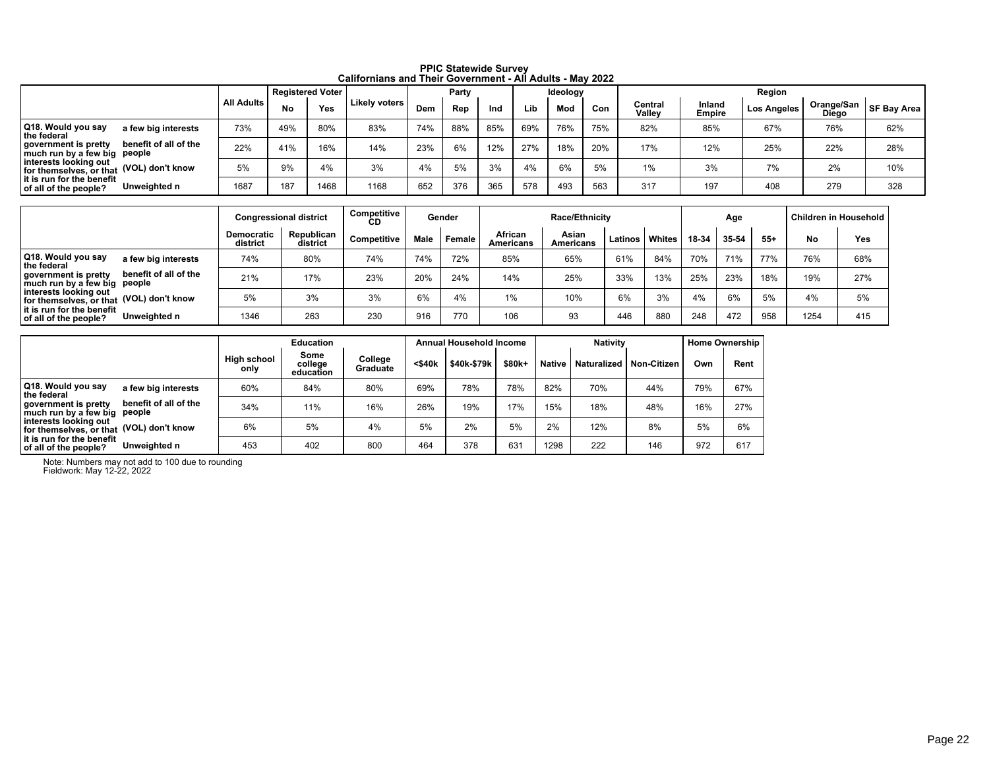|                                                                   |                       |                   | Registered Voter |      |               |     | Party |     |     | Ideology |     |                   |                         | Region      |                            |             |
|-------------------------------------------------------------------|-----------------------|-------------------|------------------|------|---------------|-----|-------|-----|-----|----------|-----|-------------------|-------------------------|-------------|----------------------------|-------------|
|                                                                   |                       | <b>All Adults</b> | <b>No</b>        | Yes  | Likely voters | Dem | Rep   | Ind | Lib | Mod      | Con | Central<br>Valley | Inland<br><b>Empire</b> | Los Angeles | Orange/San<br><b>Diego</b> | SF Bay Area |
| Q18. Would you say<br>the federal                                 | a few big interests   | 73%               | 49%              | 80%  | 83%           | 74% | 88%   | 85% | 69% | 76%      | 75% | 82%               | 85%                     | 67%         | 76%                        | 62%         |
| government is pretty<br>much run by a few big people              | benefit of all of the | 22%               | 41%              | 16%  | 14%           | 23% | 6%    | 12% | 27% | 18%      | 20% | 17%               | 12%                     | 25%         | 22%                        | 28%         |
| interests looking out<br>for themselves, or that (VOL) don't know |                       | 5%                | 9%               | 4%   | 3%            | 4%  | 5%    | 3%  | 4%  | 6%       | 5%  | 1%                | 3%                      | 7%          | 2%                         | 10%         |
| it is run for the benefit<br>of all of the people?                | Unweighted n          | 1687              | 187              | 1468 | 1168          | 652 | 376   | 365 | 578 | 493      | 563 | 317               | 197                     | 408         | 279                        | 328         |

|                                                      |                       | <b>Congressional district</b> |                        | Competitive<br>CD |      | Gender |                             | <b>Race/Ethnicity</b> |         |        |       | Age   |       | Children in Household |     |
|------------------------------------------------------|-----------------------|-------------------------------|------------------------|-------------------|------|--------|-----------------------------|-----------------------|---------|--------|-------|-------|-------|-----------------------|-----|
|                                                      |                       | <b>Democratic</b><br>district | Republican<br>district | Competitive       | Male | Female | African<br><b>Americans</b> | Asian<br>Americans    | Latinos | Whites | 18-34 | 35-54 | $55+$ | No                    | Yes |
| Q18. Would you say<br>the federal                    | a few big interests   | 74%                           | 80%                    | 74%               | 74%  | 72%    | 85%                         | 65%                   | 61%     | 84%    | 70%   | 71%   | 77%   | 76%                   | 68% |
| government is pretty<br>much run by a few big people | benefit of all of the | 21%                           | 17%                    | 23%               | 20%  | 24%    | 14%                         | 25%                   | 33%     | 13%    | 25%   | 23%   | 18%   | 19%                   | 27% |
| interests looking out<br>for themselves, or that     | (VOL) don't know      | 5%                            | 3%                     | 3%                | 6%   | 4%     | $1\%$                       | 10%                   | 6%      | 3%     | 4%    | 6%    | 5%    | 4%                    | 5%  |
| it is run for the benefit<br>of all of the people?   | Unweighted n          | 1346                          | 263                    | 230               | 916  | 770    | 106                         | 93                    | 446     | 880    | 248   | 472   | 958   | 1254                  | 415 |

|                                                      |                       |                     | <b>Education</b>             |                     |              | Annual Household Income |        |               | <b>Nativity</b> |             | <b>Home Ownership</b> |      |
|------------------------------------------------------|-----------------------|---------------------|------------------------------|---------------------|--------------|-------------------------|--------|---------------|-----------------|-------------|-----------------------|------|
|                                                      |                       | High school<br>only | Some<br>college<br>education | College<br>Graduate | $<$ \$40 $k$ | \$40k-\$79k             | \$80k+ | <b>Native</b> | Naturalized I   | Non-Citizen | Own                   | Rent |
| Q18. Would you say<br>l the federal                  | a few big interests   | 60%                 | 84%                          | 80%                 | 69%          | 78%                     | 78%    | 82%           | 70%             | 44%         | 79%                   | 67%  |
| government is pretty<br>much run by a few big people | benefit of all of the | 34%                 | 11%                          | 16%                 | 26%          | 19%                     | 17%    | 15%           | 18%             | 48%         | 16%                   | 27%  |
| interests looking out<br>for themselves, or that     | (VOL) don't know      | 6%                  | 5%                           | 4%                  | 5%           | 2%                      | 5%     | 2%            | 12%             | 8%          | 5%                    | 6%   |
| l it is run for the benefit<br>of all of the people? | Unweiahted n          | 453                 | 402                          | 800                 | 464          | 378                     | 631    | 1298          | 222             | 146         | 972                   | 617  |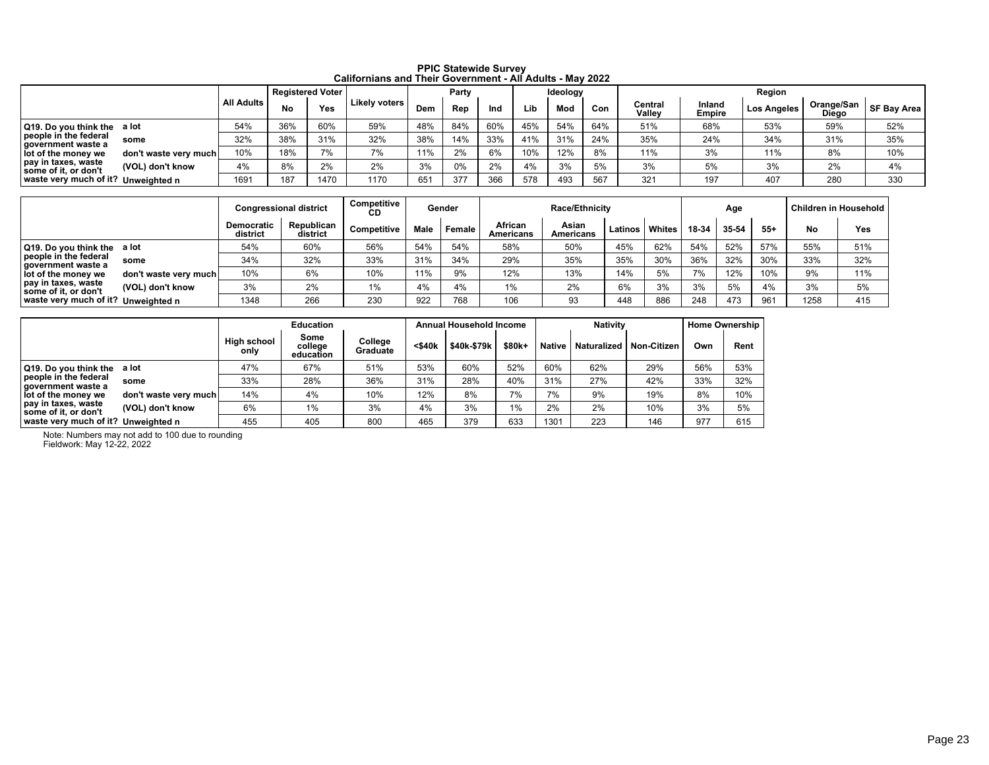|                                             |                        |                   | <b>Registered Voter</b> |      |               |     | Party |     |     | Ideology |     |                   |                  | Region      |                       |             |
|---------------------------------------------|------------------------|-------------------|-------------------------|------|---------------|-----|-------|-----|-----|----------|-----|-------------------|------------------|-------------|-----------------------|-------------|
|                                             |                        | <b>All Adults</b> | No                      | Yes  | Likely voters | Dem | Rep   | Ind | Lib | Mod      | Con | Central<br>Vallev | Inland<br>Empire | Los Angeles | Orange/San  <br>Dieao | SF Bay Area |
| $ Q19.$ Do you think the $ q $ a lot        |                        | 54%               | 36%                     | 60%  | 59%           | 48% | 84%   | 60% | 45% | 54%      | 64% | 51%               | 68%              | 53%         | 59%                   | 52%         |
| people in the federal<br>government waste a | some                   | 32%               | 38%                     | 31%  | 32%           | 38% | 14%   | 33% | 41% | 31%      | 24% | 35%               | 24%              | 34%         | 31%                   | 35%         |
| lot of the money we                         | don't waste very much! | 10%               | 18%                     | 7%   | 7%            | 11% | 2%    | 6%  | 10% | 12%      | 8%  | 11%               | 3%               | 11%         | 8%                    | 10%         |
| pay in taxes, waste<br>some of it, or don't | (VOL) don't know       | 4%                | 8%                      | 2%   | 2%            | 3%  | 0%    | 2%  | 4%  | 3%       | 5%  | 3%                | 5%               | 3%          | 2%                    | 4%          |
| waste very much of it? Unweighted n         |                        | 1691              | 187                     | 1470 | 1170          | 651 | 377   | 366 | 578 | 493      | 567 | 321               | 197              | 407         | 280                   | 330         |

|                                                 |                       | <b>Congressional district</b> |                        | Competitive<br>CD  |      | Gender |                             | Race/Ethnicity     |                    |     |       | Age   |       |      | Children in Household |
|-------------------------------------------------|-----------------------|-------------------------------|------------------------|--------------------|------|--------|-----------------------------|--------------------|--------------------|-----|-------|-------|-------|------|-----------------------|
|                                                 |                       | <b>Democratic</b><br>district | Republican<br>district | <b>Competitive</b> | Male | Female | African<br><b>Americans</b> | Asian<br>Americans | ' Latinos   Whites |     | 18-34 | 35-54 | $55+$ | No   | <b>Yes</b>            |
| Q19. Do you think the                           | a lot                 | 54%                           | 60%                    | 56%                | 54%  | 54%    | 58%                         | 50%                | 45%                | 62% | 54%   | 52%   | 57%   | 55%  | 51%                   |
| people in the federal<br>∣ government waste a   | some                  | 34%                           | 32%                    | 33%                | 31%  | 34%    | 29%                         | 35%                | 35%                | 30% | 36%   | 32%   | 30%   | 33%  | 32%                   |
| l lot of the money we                           | don't waste very much | 10%                           | 6%                     | 10%                | 11%  | 9%     | 12%                         | 13%                | 14%                | 5%  | 7%    | 12%   | 10%   | 9%   | 11%                   |
| ∣ pay in taxes, waste<br>l some of it. or don't | (VOL) don't know      | 3%                            | 2%                     | 1%                 | 4%   | 4%     | $1\%$                       | 2%                 | 6%                 | 3%  | 3%    | 5%    | 4%    | 3%   | 5%                    |
| waste very much of it? Unweighted n             |                       | 1348                          | 266                    | 230                | 922  | 768    | 106                         | 93                 | 448                | 886 | 248   | 473   | 961   | 1258 | 415                   |

|                                               |                       |                     | <b>Education</b>             |                     |        | Annual Household Income |        |          | <b>Nativity</b>             |     |     | <b>Home Ownership</b> |
|-----------------------------------------------|-----------------------|---------------------|------------------------------|---------------------|--------|-------------------------|--------|----------|-----------------------------|-----|-----|-----------------------|
|                                               |                       | High school<br>only | Some<br>college<br>education | College<br>Graduate | <\$40k | \$40k-\$79k             | \$80k+ | Native I | ∣ Naturalized ∣ Non-Citizen |     | Own | Rent                  |
| Q19. Do you think the a lot                   |                       | 47%                 | 67%                          | 51%                 | 53%    | 60%                     | 52%    | 60%      | 62%                         | 29% | 56% | 53%                   |
| people in the federal<br>I government waste a | some                  | 33%                 | 28%                          | 36%                 | 31%    | 28%                     | 40%    | 31%      | 27%                         | 42% | 33% | 32%                   |
| lot of the money we                           | don't waste very much | 14%                 | 4%                           | 10%                 | 12%    | 8%                      | 7%     | 7%       | 9%                          | 19% | 8%  | 10%                   |
| ∣ pay in taxes, waste<br>some of it, or don't | (VOL) don't know      | 6%                  | 1%                           | 3%                  | 4%     | 3%                      | 1%     | 2%       | 2%                          | 10% | 3%  | 5%                    |
| waste very much of it? Unweighted n           |                       | 455                 | 405                          | 800                 | 465    | 379                     | 633    | 1301     | 223                         | 146 | 977 | 615                   |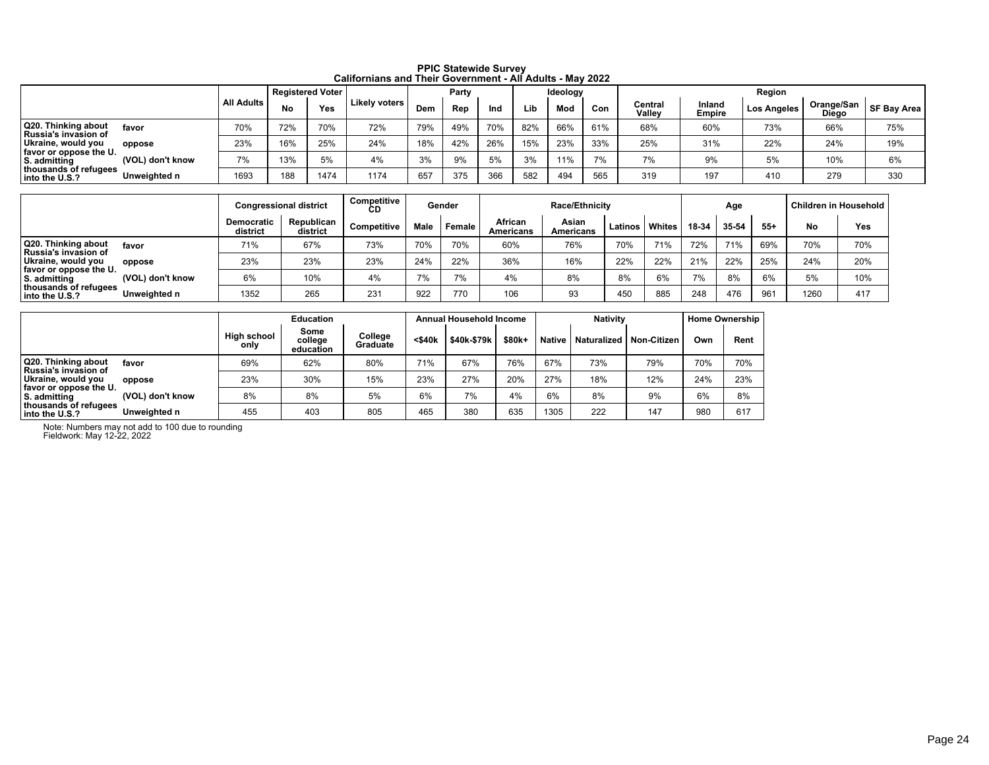|                                             |                  |                   |     | Registered Voter |               |     | Party |     |     | Ideology |     |                   |                         | Region      |                     |             |
|---------------------------------------------|------------------|-------------------|-----|------------------|---------------|-----|-------|-----|-----|----------|-----|-------------------|-------------------------|-------------|---------------------|-------------|
|                                             |                  | <b>All Adults</b> | No  | <b>Yes</b>       | Likely voters | Dem | Rep   | Ind | Lib | Mod      | Con | Central<br>Vallev | Inland<br><b>Empire</b> | Los Angeles | Orange/San<br>Diego | SF Bay Area |
| Q20. Thinking about<br>Russia's invasion of | favor            | 70%               | 72% | 70%              | 72%           | 79% | 49%   | 70% | 82% | 66%      | 61% | 68%               | 60%                     | 73%         | 66%                 | 75%         |
| Ukraine, would you                          | oppose           | 23%               | 16% | 25%              | 24%           | 18% | 42%   | 26% | 15% | 23%      | 33% | 25%               | 31%                     | 22%         | 24%                 | 19%         |
| favor or oppose the U.<br>S. admitting      | (VOL) don't know | 7%                | 13% | 5%               | 4%            | 3%  | 9%    | 5%  | 3%  | 11%      | 7%  | 7%                | 9%                      | 5%          | 10%                 | 6%          |
| thousands of refugees<br>into the U.S.?     | Unweighted n     | 1693              | 188 | 1474             | 1174          | 657 | 375   | 366 | 582 | 494      | 565 | 319               | 197                     | 410         | 279                 | 330         |

|                                             |                  | <b>Congressional district</b> |                        | Competitive<br>CD  |      | Gender |                             | Race/Ethnicity     |                  |     |       | Age   |       |      | Children in Household |
|---------------------------------------------|------------------|-------------------------------|------------------------|--------------------|------|--------|-----------------------------|--------------------|------------------|-----|-------|-------|-------|------|-----------------------|
|                                             |                  | Democratic<br>district        | Republican<br>district | <b>Competitive</b> | Male | Female | African<br><b>Americans</b> | Asian<br>Americans | Latinos   Whites |     | 18-34 | 35-54 | $55+$ | No   | <b>Yes</b>            |
| Q20. Thinking about<br>Russia's invasion of | favor            | 71%                           | 67%                    | 73%                | 70%  | 70%    | 60%                         | 76%                | 70%              | 71% | 72%   | 71%   | 69%   | 70%  | 70%                   |
| Ukraine, would you                          | oppose           | 23%                           | 23%                    | 23%                | 24%  | 22%    | 36%                         | 16%                | 22%              | 22% | 21%   | 22%   | 25%   | 24%  | 20%                   |
| favor or oppose the U.<br>S. admitting      | (VOL) don't know | 6%                            | 10%                    | 4%                 | 7%   | 7%     | 4%                          | 8%                 | 8%               | 6%  | 7%    | 8%    | 6%    | 5%   | 10%                   |
| thousands of refugees<br>into the U.S.?     | Unweighted n     | 1352                          | 265                    | 231                | 922  | 770    | 106                         | 93                 | 450              | 885 | 248   | 476   | 961   | 1260 | 417                   |

|                                                    |                  |                     | <b>Education</b>             |                     |        | Annual Household Income |        |        | <b>Nativity</b>           |     | <b>Home Ownership</b> |      |
|----------------------------------------------------|------------------|---------------------|------------------------------|---------------------|--------|-------------------------|--------|--------|---------------------------|-----|-----------------------|------|
|                                                    |                  | High school<br>only | Some<br>college<br>education | College<br>Graduate | <\$40k | \$40k-\$79k             | \$80k+ | Native | Naturalized   Non-Citizen |     | Own                   | Rent |
| Q20. Thinking about<br><b>Russia's invasion of</b> | favor            | 69%                 | 62%                          | 80%                 | 71%    | 67%                     | 76%    | 67%    | 73%                       | 79% | 70%                   | 70%  |
| Ukraine, would you                                 | oppose           | 23%                 | 30%                          | 15%                 | 23%    | 27%                     | 20%    | 27%    | 18%                       | 12% | 24%                   | 23%  |
| favor or oppose the U.<br>S. admitting             | (VOL) don't know | 8%                  | 8%                           | 5%                  | 6%     | 7%                      | 4%     | 6%     | 8%                        | 9%  | 6%                    | 8%   |
| thousands of refugees<br>l into the U.S.?          | Unweighted n     | 455                 | 403                          | 805                 | 465    | 380                     | 635    | 1305   | 222                       | 147 | 980                   | 617  |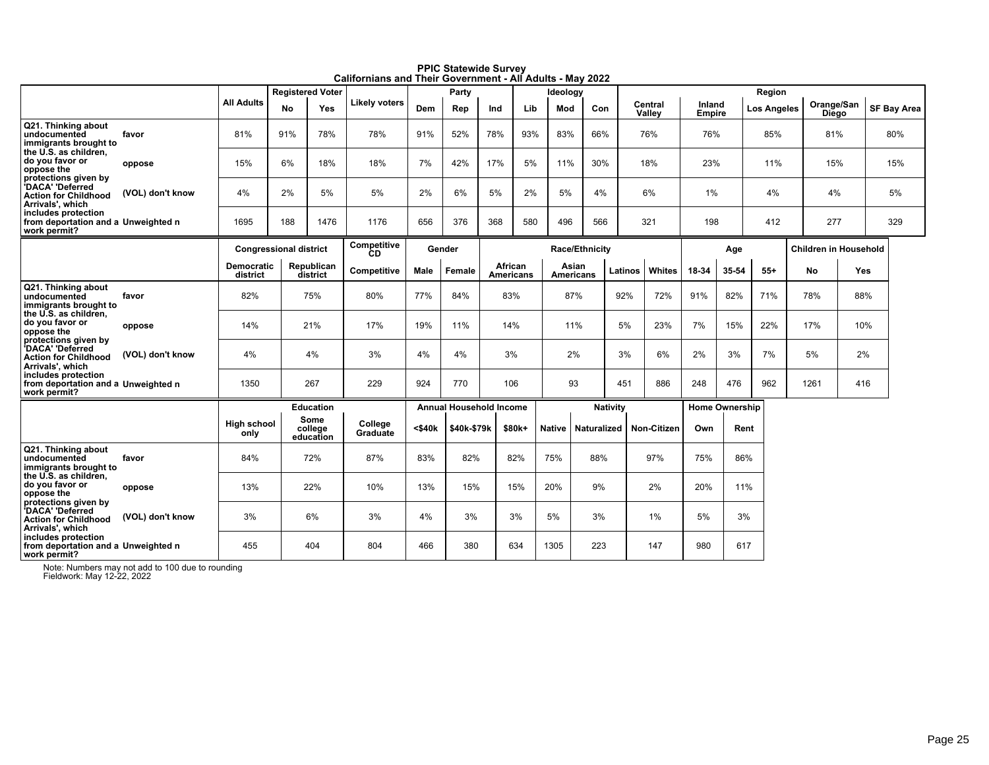|                                                                                |                  |                               | <b>Registered Voter</b>       |                              |                      |            | Party                          |     |                             | Ideology                  |                    |         |                   |                         |       | Region      |                              |                     |                    |
|--------------------------------------------------------------------------------|------------------|-------------------------------|-------------------------------|------------------------------|----------------------|------------|--------------------------------|-----|-----------------------------|---------------------------|--------------------|---------|-------------------|-------------------------|-------|-------------|------------------------------|---------------------|--------------------|
|                                                                                |                  | <b>All Adults</b>             | No                            | Yes                          | <b>Likely voters</b> | <b>Dem</b> | Rep                            | Ind | Lib                         | Mod                       | Con                |         | Central<br>Vallev | Inland<br><b>Empire</b> |       | Los Angeles |                              | Orange/San<br>Diego | <b>SF Bay Area</b> |
| Q21. Thinking about<br>undocumented<br>immigrants brought to                   | favor            | 81%                           | 91%                           | 78%                          | 78%                  | 91%        | 52%                            | 78% | 93%                         | 83%                       | 66%                |         | 76%               | 76%                     |       | 85%         |                              | 81%                 | 80%                |
| the U.S. as children,<br>do you favor or<br>oppose the<br>protections given by | oppose           | 15%                           | 6%                            | 18%                          | 18%                  | 7%         | 42%                            | 17% | 5%                          | 11%                       | 30%                |         | 18%               | 23%                     |       | 11%         |                              | 15%                 | 15%                |
| 'DACA' 'Deferred<br><b>Action for Childhood</b><br>Arrivals', which            | (VOL) don't know | 4%                            | 2%                            | 5%                           | 5%                   | 2%         | 6%                             | 5%  | 2%                          | 5%                        | 4%                 |         | 6%                | 1%                      |       | 4%          |                              | 4%                  | 5%                 |
| includes protection<br>from deportation and a Unweighted n<br>work permit?     |                  | 1695                          | 188                           | 1476                         | 1176                 | 656        | 376                            | 368 | 580                         | 496                       | 566                |         | 321               | 198                     |       | 412         |                              | 277                 | 329                |
|                                                                                |                  |                               | <b>Congressional district</b> |                              | Competitive<br>ĊD    |            | Gender                         |     |                             |                           | Race/Ethnicity     |         |                   |                         | Age   |             | <b>Children in Household</b> |                     |                    |
|                                                                                |                  | <b>Democratic</b><br>district |                               | Republican<br>district       | Competitive          | Male       | Female                         |     | African<br><b>Americans</b> | Asian<br><b>Americans</b> |                    | Latinos | Whites            | 18-34                   | 35-54 | $55+$       | <b>No</b>                    | <b>Yes</b>          |                    |
| Q21. Thinking about<br>undocumented<br>immigrants brought to                   | favor            | 82%                           |                               | 75%                          | 80%                  | 77%        | 84%                            |     | 83%                         | 87%                       |                    | 92%     | 72%               | 91%                     | 82%   | 71%         | 78%                          | 88%                 |                    |
| the U.S. as children,<br>do you favor or<br>oppose the<br>protections given by | oppose           | 14%                           |                               | 21%                          | 17%                  | 19%        | 11%                            |     | 14%                         | 11%                       |                    | 5%      | 23%               | 7%                      | 15%   | 22%         | 17%                          | 10%                 |                    |
| 'DACA' 'Deferred<br><b>Action for Childhood</b><br>Arrivals', which            | (VOL) don't know | 4%                            |                               | 4%                           | 3%                   | 4%         | 4%                             |     | 3%                          | 2%                        |                    | 3%      | 6%                | 2%                      | 3%    | 7%          | 5%                           | 2%                  |                    |
| includes protection<br>from deportation and a Unweighted n<br>work permit?     |                  | 1350                          |                               | 267                          | 229                  | 924        | 770                            |     | 106                         | 93                        |                    | 451     | 886               | 248                     | 476   | 962         | 1261                         | 416                 |                    |
|                                                                                |                  |                               |                               | <b>Education</b>             |                      |            | <b>Annual Household Income</b> |     |                             |                           | <b>Nativity</b>    |         |                   | <b>Home Ownership</b>   |       |             |                              |                     |                    |
|                                                                                |                  | <b>High school</b><br>only    |                               | Some<br>college<br>education | College<br>Graduate  | <\$40k     | \$40k-\$79k                    |     | \$80k+                      | <b>Native</b>             | <b>Naturalized</b> |         | Non-Citizen       | Own                     | Rent  |             |                              |                     |                    |
| Q21. Thinking about<br>undocumented<br>immigrants brought to                   | favor            | 84%                           |                               | 72%                          | 87%                  | 83%        | 82%                            |     | 82%                         | 75%                       | 88%                |         | 97%               | 75%                     | 86%   |             |                              |                     |                    |
| the U.S. as children,<br>do you favor or<br>oppose the<br>protections given by | oppose           | 13%                           |                               | 22%                          | 10%                  | 13%        | 15%                            |     | 15%                         | 20%                       | 9%                 |         | 2%                | 20%                     | 11%   |             |                              |                     |                    |
| 'DACA' 'Deferred<br>Action for Childhood<br>Arrivals', which                   | (VOL) don't know | 3%                            |                               | 6%                           | 3%                   | 4%         | 3%                             |     | 3%                          | 5%                        | 3%                 |         | $1\%$             | 5%                      | 3%    |             |                              |                     |                    |
| includes protection<br>from deportation and a Unweighted n<br>work permit?     |                  | 455                           |                               | 404                          | 804                  | 466        | 380                            |     | 634                         | 1305                      | 223                |         | 147               | 980                     | 617   |             |                              |                     |                    |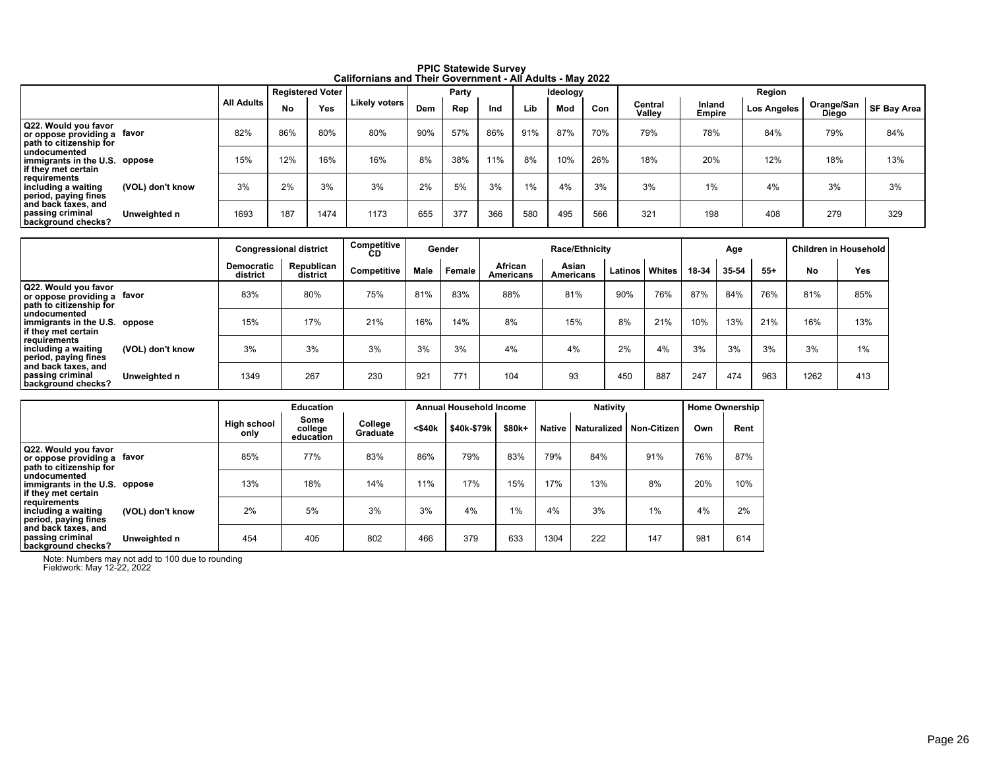|                                                                                |                  |                   | <b>Registered Voter</b> |      |               |     | Party |     |       | Ideology |     |                   |                         | Region      |                     |             |
|--------------------------------------------------------------------------------|------------------|-------------------|-------------------------|------|---------------|-----|-------|-----|-------|----------|-----|-------------------|-------------------------|-------------|---------------------|-------------|
|                                                                                |                  | <b>All Adults</b> | No                      | Yes  | Likely voters | Dem | Rep   | Ind | Lib   | Mod      | Con | Central<br>Valley | Inland<br><b>Empire</b> | Los Angeles | Orange/San<br>Diego | SF Bay Area |
| Q22. Would you favor<br>or oppose providing a favor<br>path to citizenship for |                  | 82%               | 86%                     | 80%  | 80%           | 90% | 57%   | 86% | 91%   | 87%      | 70% | 79%               | 78%                     | 84%         | 79%                 | 84%         |
| undocumented<br>immigrants in the U.S. oppose<br>if they met certain           |                  | 15%               | 12%                     | 16%  | 16%           | 8%  | 38%   | 11% | 8%    | 10%      | 26% | 18%               | 20%                     | 12%         | 18%                 | 13%         |
| ' requirements<br>Including a waiting<br>period, paying fines                  | (VOL) don't know | 3%                | 2%                      | 3%   | 3%            | 2%  | 5%    | 3%  | $1\%$ | 4%       | 3%  | 3%                | $1\%$                   | 4%          | 3%                  | 3%          |
| and back taxes, and<br>passing criminal<br>background checks?                  | Unweighted n     | 1693              | 187                     | 1474 | 1173          | 655 | 377   | 366 | 580   | 495      | 566 | 321               | 198                     | 408         | 279                 | 329         |

|                                                                          |                  |                               | <b>Congressional district</b> | Competitive  <br>CD |      | Gender          |                             | Race/Ethnicity            |         |        |       | Age   |       |      | <b>Children in Household</b> |
|--------------------------------------------------------------------------|------------------|-------------------------------|-------------------------------|---------------------|------|-----------------|-----------------------------|---------------------------|---------|--------|-------|-------|-------|------|------------------------------|
|                                                                          |                  | <b>Democratic</b><br>district | Republican<br>district        | Competitive         | Male | Female          | African<br><b>Americans</b> | Asian<br><b>Americans</b> | Latinos | Whites | 18-34 | 35-54 | $55+$ | No   | Yes                          |
| Q22. Would you favor<br>or oppose providing a<br>path to citizenship for | favor            | 83%                           | 80%                           | 75%                 | 81%  | 83%             | 88%                         | 81%                       | 90%     | 76%    | 87%   | 84%   | 76%   | 81%  | 85%                          |
| l undocumented<br>Immigrants in the U.S. oppose<br>l if they met certain |                  | 15%                           | 17%                           | 21%                 | 16%  | 14%             | 8%                          | 15%                       | 8%      | 21%    | 10%   | 13%   | 21%   | 16%  | 13%                          |
| requirements<br>Including a waiting<br>period, paying fines              | (VOL) don't know | 3%                            | 3%                            | 3%                  | 3%   | 3%              | 4%                          | 4%                        | 2%      | 4%     | 3%    | 3%    | 3%    | 3%   | 1%                           |
| l and back taxes. and<br>passing criminal<br>background checks?          | Unweighted n     | 1349                          | 267                           | 230                 | 921  | 77 <sup>1</sup> | 104                         | 93                        | 450     | 887    | 247   | 474   | 963   | 1262 | 413                          |

|                                                                                |                  |                     | <b>Education</b>             |                     |              | Annual Household Income |        |               | <b>Nativity</b> |                           |     | Home Ownership |
|--------------------------------------------------------------------------------|------------------|---------------------|------------------------------|---------------------|--------------|-------------------------|--------|---------------|-----------------|---------------------------|-----|----------------|
|                                                                                |                  | High school<br>only | Some<br>college<br>education | College<br>Graduate | $<$ \$40 $k$ | \$40k-\$79k             | \$80k+ | <b>Native</b> |                 | Naturalized   Non-Citizen | Own | Rent           |
| Q22. Would you favor<br>or oppose providing a favor<br>path to citizenship for |                  | 85%                 | 77%                          | 83%                 | 86%          | 79%                     | 83%    | 79%           | 84%             | 91%                       | 76% | 87%            |
| l undocumented<br>Immigrants in the U.S. oppose<br>if they met certain         |                  | 13%                 | 18%                          | 14%                 | 11%          | 17%                     | 15%    | 17%           | 13%             | 8%                        | 20% | 10%            |
| l reauirements<br>Including a waiting<br>period, paying fines                  | (VOL) don't know | 2%                  | 5%                           | 3%                  | 3%           | 4%                      | $1\%$  | 4%            | 3%              | 1%                        | 4%  | 2%             |
| and back taxes, and<br>  passing criminal<br>background checks?                | Unweighted n     | 454                 | 405                          | 802                 | 466          | 379                     | 633    | 1304          | 222             | 147                       | 981 | 614            |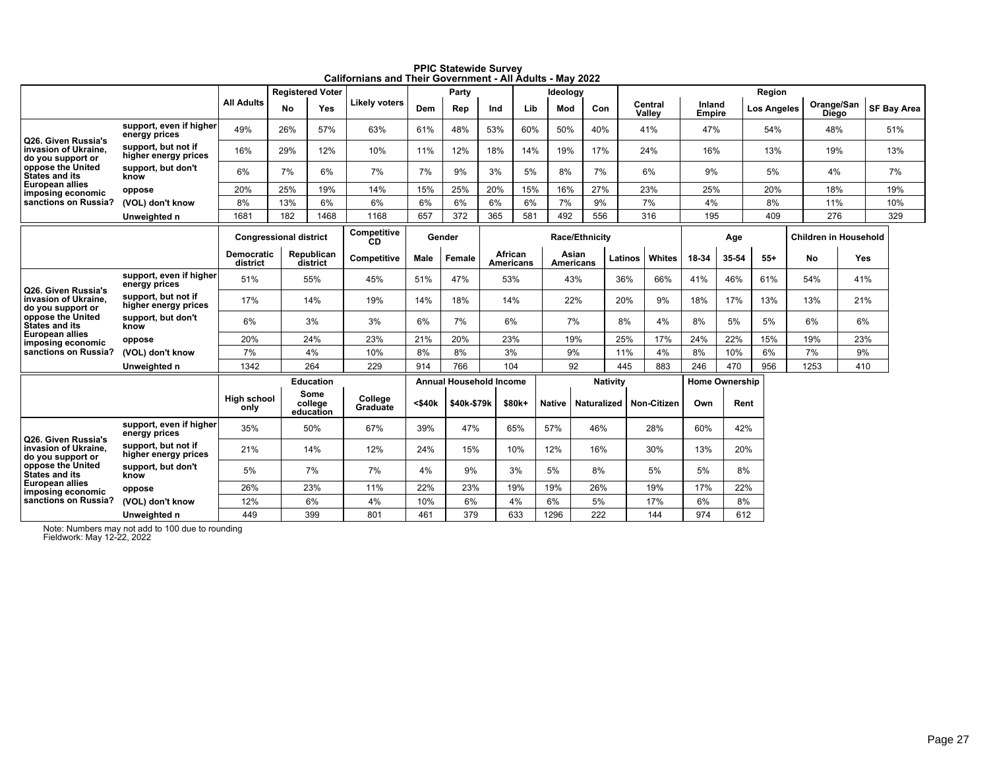|                                                                  |                                             |                               | <b>Registered Voter</b> |                              |                      | Party        |                                |     | Ideology                    |                           |                           |         | Region                   |                         |       |                    |                              |                     |                    |
|------------------------------------------------------------------|---------------------------------------------|-------------------------------|-------------------------|------------------------------|----------------------|--------------|--------------------------------|-----|-----------------------------|---------------------------|---------------------------|---------|--------------------------|-------------------------|-------|--------------------|------------------------------|---------------------|--------------------|
|                                                                  |                                             | <b>All Adults</b>             | <b>No</b>               | Yes                          | <b>Likely voters</b> | Dem          | Rep                            | Ind | <b>Lib</b>                  | Mod                       | Con                       |         | <b>Central</b><br>Vallev | Inland<br><b>Empire</b> |       | <b>Los Angeles</b> |                              | Orange/San<br>Diego | <b>SF Bay Area</b> |
|                                                                  | support, even if higher<br>energy prices    | 49%                           | 26%                     | 57%                          | 63%                  | 61%          | 48%                            | 53% | 60%                         | 50%                       | 40%                       |         | 41%                      | 47%                     |       | 54%                |                              | 48%                 | 51%                |
| Q26. Given Russia's<br>invasion of Ukraine.<br>do you support or | support, but not if<br>higher energy prices | 16%                           | 29%                     | 12%                          | 10%                  | 11%          | 12%                            | 18% | 14%                         | 19%                       | 17%                       |         | 24%                      | 16%                     |       | 13%                |                              | 19%                 | 13%                |
| oppose the United<br><b>States and its</b>                       | support, but don't<br>know                  | 6%                            | 7%                      | 6%                           | 7%                   | 7%           | 9%                             | 3%  | 5%                          | 8%                        | 7%                        |         | 6%                       | 9%                      |       | 5%                 |                              | 4%                  | 7%                 |
| European allies<br>imposing economic                             | oppose                                      | 20%                           | 25%                     | 19%                          | 14%                  | 15%          | 25%                            | 20% | 15%                         | 16%                       | 27%                       |         | 23%                      | 25%                     |       | 20%                |                              | 18%                 | 19%                |
| sanctions on Russia?                                             | (VOL) don't know                            | 8%                            | 13%                     | 6%                           | 6%                   | 6%           | 6%                             | 6%  | 6%                          | 7%                        | 9%                        |         | 7%                       | 4%                      |       | 8%                 |                              | 11%                 | 10%                |
|                                                                  | Unweighted n                                | 1681                          | 182                     | 1468                         | 1168                 | 657          | 372                            | 365 | 581                         | 492                       | 556                       |         | 316                      | 195                     |       | 409                |                              | 276                 | 329                |
|                                                                  |                                             | <b>Congressional district</b> |                         | Competitive<br>ĊD            |                      | Gender       |                                |     |                             | <b>Race/Ethnicity</b>     |                           |         | Age                      |                         |       |                    | <b>Children in Household</b> |                     |                    |
|                                                                  |                                             | <b>Democratic</b><br>district |                         | Republican<br>district       | Competitive          | Male         | Female                         |     | African<br><b>Americans</b> | Asian<br><b>Americans</b> |                           | Latinos | Whites                   | 18-34                   | 35-54 | $55+$              | <b>No</b>                    | Yes.                |                    |
| Q26. Given Russia's                                              | support, even if higher<br>energy prices    | 51%                           |                         | 55%                          | 45%                  | 51%          | 47%                            |     | 53%                         | 43%                       |                           | 36%     | 66%                      | 41%                     | 46%   | 61%                | 54%                          | 41%                 |                    |
| invasion of Ukraine.<br>do you support or                        | support, but not if<br>higher energy prices | 17%                           |                         | 14%                          | 19%                  | 14%          | 18%                            |     | 14%                         | 22%                       |                           | 20%     | 9%                       | 18%                     | 17%   | 13%                | 13%                          | 21%                 |                    |
| oppose the United<br><b>States and its</b>                       | support, but don't<br>know                  | 6%                            |                         | 3%                           | 3%                   | 6%           | 7%                             |     | 6%                          | 7%                        |                           | 8%      | 4%                       | 8%                      | 5%    | 5%                 | 6%                           | 6%                  |                    |
| <b>European allies</b><br>imposing economic                      | oppose                                      | 20%                           |                         | 24%                          | 23%                  | 21%          | 20%                            |     | 23%                         | 19%                       |                           | 25%     | 17%                      | 24%                     | 22%   | 15%                | 19%                          | 23%                 |                    |
| sanctions on Russia?                                             | (VOL) don't know                            | 7%                            |                         | 4%                           | 10%                  | 8%           | 8%                             |     | 3%                          | 9%                        |                           | 11%     | 4%                       | 8%                      | 10%   | 6%                 | 7%                           | 9%                  |                    |
|                                                                  | Unweighted n                                | 1342                          |                         | 264                          | 229                  | 914          | 766                            |     | 104                         | 92                        |                           | 445     | 883                      | 246                     | 470   | 956                | 1253                         | 410                 |                    |
|                                                                  |                                             |                               |                         | <b>Education</b>             |                      |              | <b>Annual Household Income</b> |     | <b>Nativity</b>             |                           |                           |         |                          | <b>Home Ownership</b>   |       |                    |                              |                     |                    |
|                                                                  |                                             | <b>High school</b><br>only    |                         | Some<br>college<br>education | College<br>Graduate  | $<$ \$40 $k$ | \$40k-\$79k                    |     | \$80k+                      | <b>Native</b>             | Naturalized   Non-Citizen |         |                          | Own                     | Rent  |                    |                              |                     |                    |
| Q26. Given Russia's                                              | support, even if higher<br>energy prices    | 35%                           |                         | 50%                          | 67%                  | 39%          | 47%                            |     | 65%                         | 57%                       | 46%                       |         | 28%                      | 60%                     | 42%   |                    |                              |                     |                    |
| invasion of Ukraine.<br>do you support or                        | support, but not if<br>higher energy prices | 21%                           |                         | 14%                          | 12%                  | 24%          | 15%                            |     | 10%                         | 12%                       | 16%                       |         | 30%                      | 13%                     | 20%   |                    |                              |                     |                    |
| oppose the United<br><b>States and its</b>                       | support, but don't<br>know                  | 5%                            |                         | 7%                           | 7%                   | 4%           | 9%                             |     | 3%                          | 5%                        | 8%                        |         | 5%                       | 5%                      | 8%    |                    |                              |                     |                    |
| <b>European allies</b><br>imposing economic                      | oppose                                      | 26%                           |                         | 23%                          | 11%                  | 22%          | 23%                            |     | 19%                         | 19%                       | 26%                       |         | 19%                      | 17%                     | 22%   |                    |                              |                     |                    |
| sanctions on Russia?                                             | (VOL) don't know                            | 12%                           |                         | 6%                           | 4%                   | 10%          | 6%                             |     | 4%                          | 6%                        | 5%                        |         | 17%                      | 6%                      | 8%    |                    |                              |                     |                    |
|                                                                  | Unweighted n                                | 449                           |                         | 399                          | 801                  | 461          | 379                            |     | 633                         | 1296                      | 222                       |         | 144                      | 974                     | 612   |                    |                              |                     |                    |